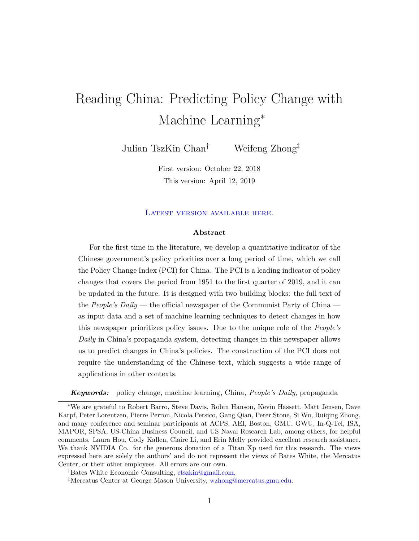# Reading China: Predicting Policy Change with Machine Learning<sup>∗</sup>

Julian TszKin Chan† Weifeng Zhong‡

First version: October 22, 2018 This version: April 12, 2019

#### LATEST VERSION AVAILABLE HERE.

#### **Abstract**

For the first time in the literature, we develop a quantitative indicator of the Chinese government's policy priorities over a long period of time, which we call the Policy Change Index (PCI) for China. The PCI is a leading indicator of policy changes that covers the period from 1951 to the first quarter of 2019, and it can be updated in the future. It is designed with two building blocks: the full text of the *People's Daily* — the official newspaper of the Communist Party of China as input data and a set of machine learning techniques to detect changes in how this newspaper prioritizes policy issues. Due to the unique role of the *People's Daily* in China's propaganda system, detecting changes in this newspaper allows us to predict changes in China's policies. The construction of the PCI does not require the understanding of the Chinese text, which suggests a wide range of applications in other contexts.

*Keywords:* policy change, machine learning, China, *People's Daily*, propaganda

<sup>∗</sup>We are grateful to Robert Barro, Steve Davis, Robin Hanson, Kevin Hassett, Matt Jensen, Dave Karpf, Peter Lorentzen, Pierre Perron, Nicola Persico, Gang Qian, Peter Stone, Si Wu, Ruiqing Zhong, and many conference and seminar participants at ACPS, AEI, Boston, GMU, GWU, In-Q-Tel, ISA, MAPOR, SPSA, US-China Business Council, and US Naval Research Lab, among others, for helpful comments. Laura Hou, Cody Kallen, Claire Li, and Erin Melly provided excellent research assistance. We thank NVIDIA Co. for the generous donation of a Titan Xp used for this research. The views expressed here are solely the authors' and do not represent the views of Bates White, the Mercatus Center, or their other employees. All errors are our own.

<sup>†</sup>Bates White Economic Consulting, [ctszkin@gmail.com.](mailto:ctszkin@gmail.com)

<sup>‡</sup>Mercatus Center at George Mason University, [wzhong@mercatus.gmu.edu.](mailto:wzhong@mercatus.gmu.edu)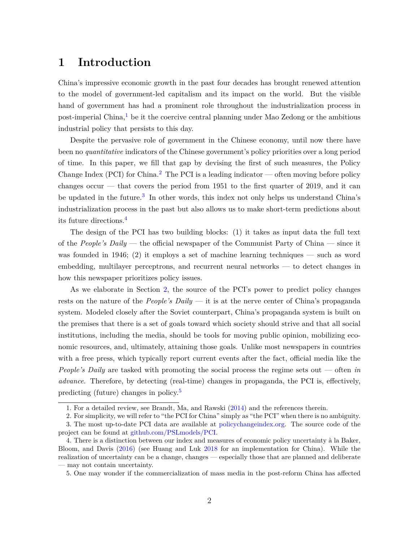# **1 Introduction**

China's impressive economic growth in the past four decades has brought renewed attention to the model of government-led capitalism and its impact on the world. But the visible hand of government has had a prominent role throughout the industrialization process in post-imperial China, $^{1}$  $^{1}$  $^{1}$  be it the coercive central planning under Mao Zedong or the ambitious industrial policy that persists to this day.

Despite the pervasive role of government in the Chinese economy, until now there have been no *quantitative* indicators of the Chinese government's policy priorities over a long period of time. In this paper, we fill that gap by devising the first of such measures, the Policy Change Index (PCI) for China.<sup>[2](#page-1-1)</sup> The PCI is a leading indicator — often moving before policy changes occur — that covers the period from 1951 to the first quarter of 2019, and it can be updated in the future.<sup>[3](#page-1-2)</sup> In other words, this index not only helps us understand China's industrialization process in the past but also allows us to make short-term predictions about its future directions.[4](#page-1-3)

The design of the PCI has two building blocks: (1) it takes as input data the full text of the *People's Daily* — the official newspaper of the Communist Party of China — since it was founded in 1946; (2) it employs a set of machine learning techniques — such as word embedding, multilayer perceptrons, and recurrent neural networks — to detect changes in how this newspaper prioritizes policy issues.

As we elaborate in Section [2,](#page-6-0) the source of the PCI's power to predict policy changes rests on the nature of the *People's Daily* — it is at the nerve center of China's propaganda system. Modeled closely after the Soviet counterpart, China's propaganda system is built on the premises that there is a set of goals toward which society should strive and that all social institutions, including the media, should be tools for moving public opinion, mobilizing economic resources, and, ultimately, attaining those goals. Unlike most newspapers in countries with a free press, which typically report current events after the fact, official media like the *People's Daily* are tasked with promoting the social process the regime sets out — often *in advance*. Therefore, by detecting (real-time) changes in propaganda, the PCI is, effectively, predicting (future) changes in policy.[5](#page-1-4)

<span id="page-1-1"></span><span id="page-1-0"></span><sup>1.</sup> For a detailed review, see Brandt, Ma, and Rawski [\(2014\)](#page-30-0) and the references therein.

<span id="page-1-2"></span><sup>2.</sup> For simplicity, we will refer to "the PCI for China" simply as "the PCI" when there is no ambiguity.

<sup>3.</sup> The most up-to-date PCI data are available at [policychangeindex.org.](https://policychangeindex.org) The source code of the project can be found at [github.com/PSLmodels/PCI.](https://github.com/PSLmodels/PCI)

<span id="page-1-3"></span><sup>4.</sup> There is a distinction between our index and measures of economic policy uncertainty à la Baker, Bloom, and Davis [\(2016\)](#page-30-1) (see Huang and Luk [2018](#page-31-0) for an implementation for China). While the realization of uncertainty can be a change, changes — especially those that are planned and deliberate — may not contain uncertainty.

<span id="page-1-4"></span><sup>5.</sup> One may wonder if the commercialization of mass media in the post-reform China has affected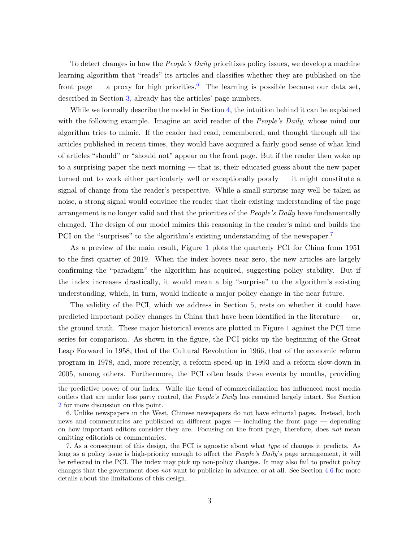To detect changes in how the *People's Daily* prioritizes policy issues, we develop a machine learning algorithm that "reads" its articles and classifies whether they are published on the front page — a proxy for high priorities.<sup>[6](#page-2-0)</sup> The learning is possible because our data set, described in Section [3,](#page-8-0) already has the articles' page numbers.

While we formally describe the model in Section [4,](#page-8-1) the intuition behind it can be explained with the following example. Imagine an avid reader of the *People's Daily*, whose mind our algorithm tries to mimic. If the reader had read, remembered, and thought through all the articles published in recent times, they would have acquired a fairly good sense of what kind of articles "should" or "should not" appear on the front page. But if the reader then woke up to a surprising paper the next morning — that is, their educated guess about the new paper turned out to work either particularly well or exceptionally poorly — it might constitute a signal of change from the reader's perspective. While a small surprise may well be taken as noise, a strong signal would convince the reader that their existing understanding of the page arrangement is no longer valid and that the priorities of the *People's Daily* have fundamentally changed. The design of our model mimics this reasoning in the reader's mind and builds the PCI on the "surprises" to the algorithm's existing understanding of the newspaper.<sup>[7](#page-2-1)</sup>

As a preview of the main result, Figure [1](#page-3-0) plots the quarterly PCI for China from 1951 to the first quarter of 2019. When the index hovers near zero, the new articles are largely confirming the "paradigm" the algorithm has acquired, suggesting policy stability. But if the index increases drastically, it would mean a big "surprise" to the algorithm's existing understanding, which, in turn, would indicate a major policy change in the near future.

The validity of the PCI, which we address in Section [5,](#page-19-0) rests on whether it could have predicted important policy changes in China that have been identified in the literature  $\sim$  or, the ground truth. These major historical events are plotted in Figure [1](#page-3-0) against the PCI time series for comparison. As shown in the figure, the PCI picks up the beginning of the Great Leap Forward in 1958, that of the Cultural Revolution in 1966, that of the economic reform program in 1978, and, more recently, a reform speed-up in 1993 and a reform slow-down in 2005, among others. Furthermore, the PCI often leads these events by months, providing

the predictive power of our index. While the trend of commercialization has influenced most media outlets that are under less party control, the *People's Daily* has remained largely intact. See Section [2](#page-6-0) for more discussion on this point.

<span id="page-2-0"></span><sup>6.</sup> Unlike newspapers in the West, Chinese newspapers do not have editorial pages. Instead, both news and commentaries are published on different pages — including the front page — depending on how important editors consider they are. Focusing on the front page, therefore, does *not* mean omitting editorials or commentaries.

<span id="page-2-1"></span><sup>7.</sup> As a consequent of this design, the PCI is agnostic about what *type* of changes it predicts. As long as a policy issue is high-priority enough to affect the *People's Daily*'s page arrangement, it will be reflected in the PCI. The index may pick up non-policy changes. It may also fail to predict policy changes that the government does *not* want to publicize in advance, or at all. See Section [4.6](#page-17-0) for more details about the limitations of this design.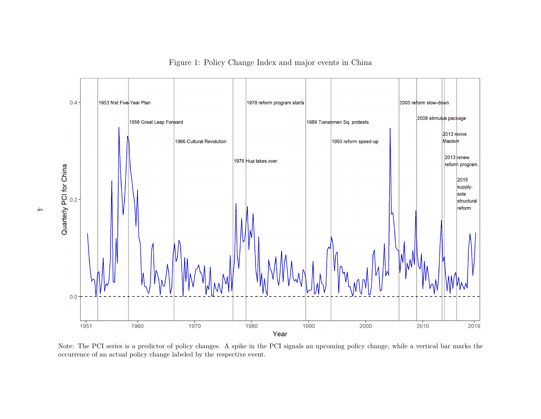

<span id="page-3-0"></span>Figure 1: Policy Change Index and major events in China

Note: The PCI series is <sup>a</sup> predictor of policy changes. A spike in the PCI signals an upcoming policy change, while <sup>a</sup> vertical bar marks theoccurrence of an actual policy change labeled by the respective event.

 $\overline{+}$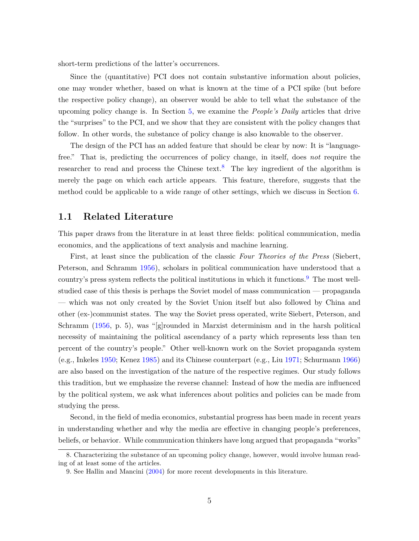short-term predictions of the latter's occurrences.

Since the (quantitative) PCI does not contain substantive information about policies, one may wonder whether, based on what is known at the time of a PCI spike (but before the respective policy change), an observer would be able to tell what the substance of the upcoming policy change is. In Section [5,](#page-19-0) we examine the *People's Daily* articles that drive the "surprises" to the PCI, and we show that they are consistent with the policy changes that follow. In other words, the substance of policy change is also knowable to the observer.

The design of the PCI has an added feature that should be clear by now: It is "languagefree." That is, predicting the occurrences of policy change, in itself, does *not* require the researcher to read and process the Chinese text.<sup>[8](#page-4-0)</sup> The key ingredient of the algorithm is merely the page on which each article appears. This feature, therefore, suggests that the method could be applicable to a wide range of other settings, which we discuss in Section [6.](#page-27-0)

#### **1.1 Related Literature**

This paper draws from the literature in at least three fields: political communication, media economics, and the applications of text analysis and machine learning.

First, at least since the publication of the classic *Four Theories of the Press* (Siebert, Peterson, and Schramm [1956\)](#page-34-0), scholars in political communication have understood that a country's press system reflects the political institutions in which it functions.[9](#page-4-1) The most wellstudied case of this thesis is perhaps the Soviet model of mass communication — propaganda — which was not only created by the Soviet Union itself but also followed by China and other (ex-)communist states. The way the Soviet press operated, write Siebert, Peterson, and Schramm [\(1956,](#page-34-0) p. 5), was "[g]rounded in Marxist determinism and in the harsh political necessity of maintaining the political ascendancy of a party which represents less than ten percent of the country's people." Other well-known work on the Soviet propaganda system (e.g., Inkeles [1950;](#page-31-1) Kenez [1985\)](#page-32-0) and its Chinese counterpart (e.g., Liu [1971;](#page-32-1) Schurmann [1966\)](#page-33-0) are also based on the investigation of the nature of the respective regimes. Our study follows this tradition, but we emphasize the reverse channel: Instead of how the media are influenced by the political system, we ask what inferences about politics and policies can be made from studying the press.

Second, in the field of media economics, substantial progress has been made in recent years in understanding whether and why the media are effective in changing people's preferences, beliefs, or behavior. While communication thinkers have long argued that propaganda "works"

<span id="page-4-0"></span><sup>8.</sup> Characterizing the substance of an upcoming policy change, however, would involve human reading of at least some of the articles.

<span id="page-4-1"></span><sup>9.</sup> See Hallin and Mancini [\(2004\)](#page-31-2) for more recent developments in this literature.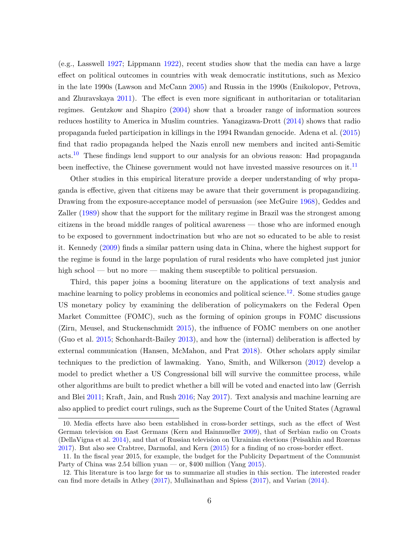(e.g., Lasswell [1927;](#page-32-2) Lippmann [1922\)](#page-32-3), recent studies show that the media can have a large effect on political outcomes in countries with weak democratic institutions, such as Mexico in the late 1990s (Lawson and McCann [2005\)](#page-32-4) and Russia in the 1990s (Enikolopov, Petrova, and Zhuravskaya [2011\)](#page-31-3). The effect is even more significant in authoritarian or totalitarian regimes. Gentzkow and Shapiro [\(2004\)](#page-31-4) show that a broader range of information sources reduces hostility to America in Muslim countries. Yanagizawa-Drott [\(2014\)](#page-34-1) shows that radio propaganda fueled participation in killings in the 1994 Rwandan genocide. Adena et al. [\(2015\)](#page-30-2) find that radio propaganda helped the Nazis enroll new members and incited anti-Semitic acts.[10](#page-5-0) These findings lend support to our analysis for an obvious reason: Had propaganda been ineffective, the Chinese government would not have invested massive resources on it.<sup>[11](#page-5-1)</sup>

Other studies in this empirical literature provide a deeper understanding of why propaganda is effective, given that citizens may be aware that their government is propagandizing. Drawing from the exposure-acceptance model of persuasion (see McGuire [1968\)](#page-33-1), Geddes and Zaller [\(1989\)](#page-31-5) show that the support for the military regime in Brazil was the strongest among citizens in the broad middle ranges of political awareness — those who are informed enough to be exposed to government indoctrination but who are not so educated to be able to resist it. Kennedy [\(2009\)](#page-32-5) finds a similar pattern using data in China, where the highest support for the regime is found in the large population of rural residents who have completed just junior high school — but no more — making them susceptible to political persuasion.

Third, this paper joins a booming literature on the applications of text analysis and machine learning to policy problems in economics and political science.<sup>[12](#page-5-2)</sup>. Some studies gauge US monetary policy by examining the deliberation of policymakers on the Federal Open Market Committee (FOMC), such as the forming of opinion groups in FOMC discussions (Zirn, Meusel, and Stuckenschmidt [2015\)](#page-35-0), the influence of FOMC members on one another (Guo et al. [2015;](#page-31-6) Schonhardt-Bailey [2013\)](#page-33-2), and how the (internal) deliberation is affected by external communication (Hansen, McMahon, and Prat [2018\)](#page-31-7). Other scholars apply similar techniques to the prediction of lawmaking. Yano, Smith, and Wilkerson [\(2012\)](#page-35-1) develop a model to predict whether a US Congressional bill will survive the committee process, while other algorithms are built to predict whether a bill will be voted and enacted into law (Gerrish and Blei [2011;](#page-31-8) Kraft, Jain, and Rush [2016;](#page-32-6) Nay [2017\)](#page-33-3). Text analysis and machine learning are also applied to predict court rulings, such as the Supreme Court of the United States (Agrawal

<span id="page-5-0"></span><sup>10.</sup> Media effects have also been established in cross-border settings, such as the effect of West German television on East Germans (Kern and Hainmueller [2009\)](#page-32-7), that of Serbian radio on Croats (DellaVigna et al. [2014\)](#page-31-9), and that of Russian television on Ukrainian elections (Peisakhin and Rozenas [2017\)](#page-33-4). But also see Crabtree, Darmofal, and Kern [\(2015\)](#page-30-3) for a finding of no cross-border effect.

<span id="page-5-1"></span><sup>11.</sup> In the fiscal year 2015, for example, the budget for the Publicity Department of the Communist Party of China was 2.54 billion yuan — or, \$400 million (Yang  $2015$ ).

<span id="page-5-2"></span><sup>12.</sup> This literature is too large for us to summarize all studies in this section. The interested reader can find more details in Athey [\(2017\)](#page-30-4), Mullainathan and Spiess [\(2017\)](#page-33-5), and Varian [\(2014\)](#page-34-3).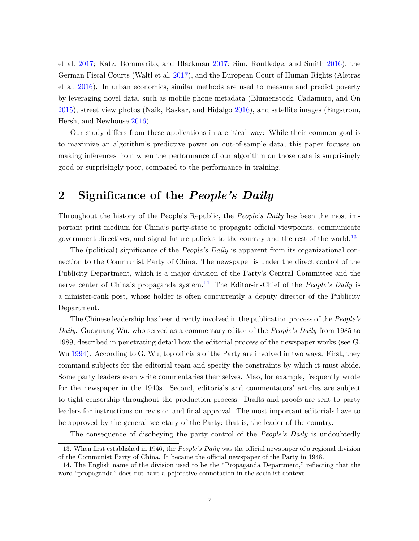et al. [2017;](#page-30-5) Katz, Bommarito, and Blackman [2017;](#page-32-8) Sim, Routledge, and Smith [2016\)](#page-34-4), the German Fiscal Courts (Waltl et al. [2017\)](#page-34-5), and the European Court of Human Rights (Aletras et al. [2016\)](#page-30-6). In urban economics, similar methods are used to measure and predict poverty by leveraging novel data, such as mobile phone metadata (Blumenstock, Cadamuro, and On [2015\)](#page-30-7), street view photos (Naik, Raskar, and Hidalgo [2016\)](#page-33-6), and satellite images (Engstrom, Hersh, and Newhouse [2016\)](#page-31-10).

Our study differs from these applications in a critical way: While their common goal is to maximize an algorithm's predictive power on out-of-sample data, this paper focuses on making inferences from when the performance of our algorithm on those data is surprisingly good or surprisingly poor, compared to the performance in training.

# <span id="page-6-0"></span>**2 Significance of the** *People's Daily*

Throughout the history of the People's Republic, the *People's Daily* has been the most important print medium for China's party-state to propagate official viewpoints, communicate government directives, and signal future policies to the country and the rest of the world.<sup>[13](#page-6-1)</sup>

The (political) significance of the *People's Daily* is apparent from its organizational connection to the Communist Party of China. The newspaper is under the direct control of the Publicity Department, which is a major division of the Party's Central Committee and the nerve center of China's propaganda system.<sup>[14](#page-6-2)</sup> The Editor-in-Chief of the *People's Daily* is a minister-rank post, whose holder is often concurrently a deputy director of the Publicity Department.

The Chinese leadership has been directly involved in the publication process of the *People's Daily*. Guoguang Wu, who served as a commentary editor of the *People's Daily* from 1985 to 1989, described in penetrating detail how the editorial process of the newspaper works (see G. Wu [1994\)](#page-34-6). According to G. Wu, top officials of the Party are involved in two ways. First, they command subjects for the editorial team and specify the constraints by which it must abide. Some party leaders even write commentaries themselves. Mao, for example, frequently wrote for the newspaper in the 1940s. Second, editorials and commentators' articles are subject to tight censorship throughout the production process. Drafts and proofs are sent to party leaders for instructions on revision and final approval. The most important editorials have to be approved by the general secretary of the Party; that is, the leader of the country.

<span id="page-6-1"></span>The consequence of disobeying the party control of the *People's Daily* is undoubtedly

<sup>13.</sup> When first established in 1946, the *People's Daily* was the official newspaper of a regional division of the Communist Party of China. It became the official newspaper of the Party in 1948.

<span id="page-6-2"></span><sup>14.</sup> The English name of the division used to be the "Propaganda Department," reflecting that the word "propaganda" does not have a pejorative connotation in the socialist context.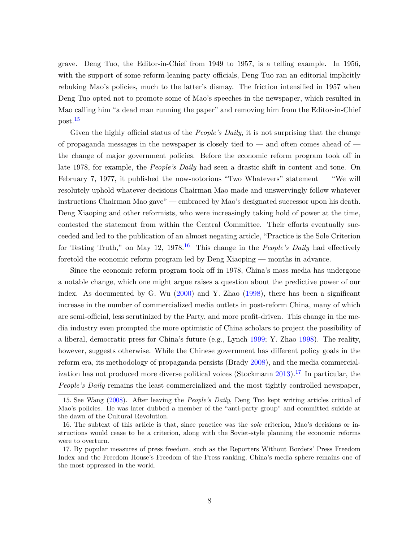grave. Deng Tuo, the Editor-in-Chief from 1949 to 1957, is a telling example. In 1956, with the support of some reform-leaning party officials, Deng Tuo ran an editorial implicitly rebuking Mao's policies, much to the latter's dismay. The friction intensified in 1957 when Deng Tuo opted not to promote some of Mao's speeches in the newspaper, which resulted in Mao calling him "a dead man running the paper" and removing him from the Editor-in-Chief post.[15](#page-7-0)

Given the highly official status of the *People's Daily*, it is not surprising that the change of propaganda messages in the newspaper is closely tied to — and often comes ahead of the change of major government policies. Before the economic reform program took off in late 1978, for example, the *People's Daily* had seen a drastic shift in content and tone. On February 7, 1977, it published the now-notorious "Two Whatevers" statement — "We will resolutely uphold whatever decisions Chairman Mao made and unswervingly follow whatever instructions Chairman Mao gave" — embraced by Mao's designated successor upon his death. Deng Xiaoping and other reformists, who were increasingly taking hold of power at the time, contested the statement from within the Central Committee. Their efforts eventually succeeded and led to the publication of an almost negating article, "Practice is the Sole Criterion for Testing Truth," on May 12, 1978.<sup>[16](#page-7-1)</sup> This change in the *People's Daily* had effectively foretold the economic reform program led by Deng Xiaoping — months in advance.

Since the economic reform program took off in 1978, China's mass media has undergone a notable change, which one might argue raises a question about the predictive power of our index. As documented by G. Wu [\(2000\)](#page-34-7) and Y. Zhao [\(1998\)](#page-35-2), there has been a significant increase in the number of commercialized media outlets in post-reform China, many of which are semi-official, less scrutinized by the Party, and more profit-driven. This change in the media industry even prompted the more optimistic of China scholars to project the possibility of a liberal, democratic press for China's future (e.g., Lynch [1999;](#page-32-9) Y. Zhao [1998\)](#page-35-2). The reality, however, suggests otherwise. While the Chinese government has different policy goals in the reform era, its methodology of propaganda persists (Brady [2008\)](#page-30-8), and the media commercialization has not produced more diverse political voices (Stockmann  $2013$ ).<sup>[17](#page-7-2)</sup> In particular, the *People's Daily* remains the least commercialized and the most tightly controlled newspaper,

<span id="page-7-0"></span><sup>15.</sup> See Wang [\(2008\)](#page-34-9). After leaving the *People's Daily*, Deng Tuo kept writing articles critical of Mao's policies. He was later dubbed a member of the "anti-party group" and committed suicide at the dawn of the Cultural Revolution.

<span id="page-7-1"></span><sup>16.</sup> The subtext of this article is that, since practice was the *sole* criterion, Mao's decisions or instructions would cease to be a criterion, along with the Soviet-style planning the economic reforms were to overturn.

<span id="page-7-2"></span><sup>17.</sup> By popular measures of press freedom, such as the Reporters Without Borders' Press Freedom Index and the Freedom House's Freedom of the Press ranking, China's media sphere remains one of the most oppressed in the world.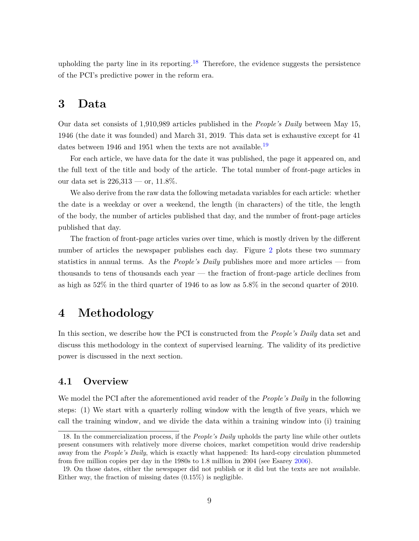upholding the party line in its reporting.<sup>[18](#page-8-2)</sup> Therefore, the evidence suggests the persistence of the PCI's predictive power in the reform era.

# <span id="page-8-0"></span>**3 Data**

Our data set consists of 1,910,989 articles published in the *People's Daily* between May 15, 1946 (the date it was founded) and March 31, 2019. This data set is exhaustive except for 41 dates between [19](#page-8-3)46 and 1951 when the texts are not available.<sup>19</sup>

For each article, we have data for the date it was published, the page it appeared on, and the full text of the title and body of the article. The total number of front-page articles in our data set is  $226,313$  — or,  $11.8\%$ .

We also derive from the raw data the following metadata variables for each article: whether the date is a weekday or over a weekend, the length (in characters) of the title, the length of the body, the number of articles published that day, and the number of front-page articles published that day.

The fraction of front-page articles varies over time, which is mostly driven by the different number of articles the newspaper publishes each day. Figure [2](#page-9-0) plots these two summary statistics in annual terms. As the *People's Daily* publishes more and more articles — from thousands to tens of thousands each year — the fraction of front-page article declines from as high as 52% in the third quarter of 1946 to as low as 5.8% in the second quarter of 2010.

# <span id="page-8-1"></span>**4 Methodology**

In this section, we describe how the PCI is constructed from the *People's Daily* data set and discuss this methodology in the context of supervised learning. The validity of its predictive power is discussed in the next section.

### **4.1 Overview**

We model the PCI after the aforementioned avid reader of the *People's Daily* in the following steps: (1) We start with a quarterly rolling window with the length of five years, which we call the training window, and we divide the data within a training window into (i) training

<span id="page-8-2"></span><sup>18.</sup> In the commercialization process, if the *People's Daily* upholds the party line while other outlets present consumers with relatively more diverse choices, market competition would drive readership away from the *People's Daily*, which is exactly what happened: Its hard-copy circulation plummeted from five million copies per day in the 1980s to 1.8 million in 2004 (see Esarey [2006\)](#page-31-11).

<span id="page-8-3"></span><sup>19.</sup> On those dates, either the newspaper did not publish or it did but the texts are not available. Either way, the fraction of missing dates (0.15%) is negligible.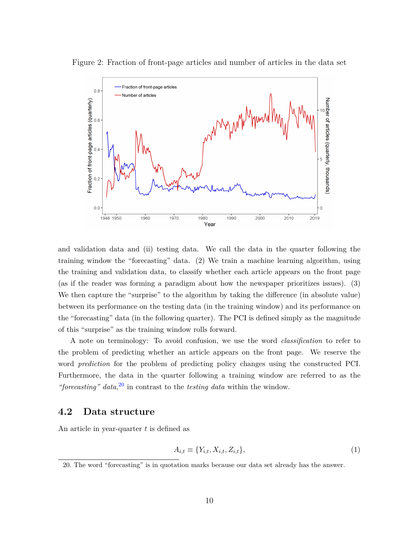

<span id="page-9-0"></span>Figure 2: Fraction of front-page articles and number of articles in the data set

and validation data and (ii) testing data. We call the data in the quarter following the training window the "forecasting" data. (2) We train a machine learning algorithm, using the training and validation data, to classify whether each article appears on the front page (as if the reader was forming a paradigm about how the newspaper prioritizes issues). (3) We then capture the "surprise" to the algorithm by taking the difference (in absolute value) between its performance on the testing data (in the training window) and its performance on the "forecasting" data (in the following quarter). The PCI is defined simply as the magnitude of this "surprise" as the training window rolls forward.

A note on terminology: To avoid confusion, we use the word *classification* to refer to the problem of predicting whether an article appears on the front page. We reserve the word *prediction* for the problem of predicting policy changes using the constructed PCI. Furthermore, the data in the quarter following a training window are referred to as the *"forecasting" data*, [20](#page-9-1) in contrast to the *testing data* within the window.

#### **4.2 Data structure**

An article in year-quarter *t* is defined as

$$
A_{i,t} \equiv \{Y_{i,t}, X_{i,t}, Z_{i,t}\},\tag{1}
$$

<span id="page-9-1"></span><sup>20.</sup> The word "forecasting" is in quotation marks because our data set already has the answer.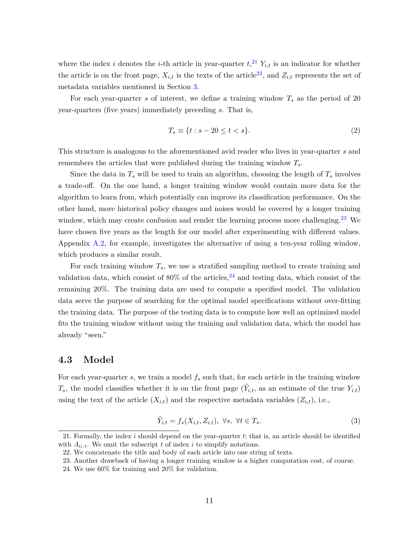where the index *i* denotes the *i*-th article in year-quarter  $t$ ,<sup>[21](#page-10-0)</sup>,  $Y_{i,t}$  is an indicator for whether the article is on the front page,  $X_{i,t}$  is the texts of the article<sup>[22](#page-10-1)</sup>, and  $Z_{i,t}$  represents the set of metadata variables mentioned in Section [3.](#page-8-0)

For each year-quarter *s* of interest, we define a training window *T<sup>s</sup>* as the period of 20 year-quarters (five years) immediately preceding *s*. That is,

$$
T_s \equiv \{t : s - 20 \le t < s\}.\tag{2}
$$

This structure is analogous to the aforementioned avid reader who lives in year-quarter *s* and remembers the articles that were published during the training window *Ts*.

Since the data in  $T_s$  will be used to train an algorithm, choosing the length of  $T_s$  involves a trade-off. On the one hand, a longer training window would contain more data for the algorithm to learn from, which potentially can improve its classification performance. On the other hand, more historical policy changes and noises would be covered by a longer training window, which may create confusion and render the learning process more challenging.<sup>[23](#page-10-2)</sup> We have chosen five years as the length for our model after experimenting with different values. Appendix [A.2,](#page-36-0) for example, investigates the alternative of using a ten-year rolling window, which produces a similar result.

For each training window  $T_s$ , we use a stratified sampling method to create training and validation data, which consist of  $80\%$  of the articles,  $24$  and testing data, which consist of the remaining 20%. The training data are used to compute a specified model. The validation data serve the purpose of searching for the optimal model specifications without over-fitting the training data. The purpose of the testing data is to compute how well an optimized model fits the training window without using the training and validation data, which the model has already "seen."

#### **4.3 Model**

For each year-quarter *s*, we train a model *f<sup>s</sup>* such that, for each article in the training window  $T_s$ , the model classifies whether it is on the front page  $(\hat{Y}_{i,t}$ , as an estimate of the true  $Y_{i,t}$ ) using the text of the article  $(X_{i,t})$  and the respective metadata variables  $(Z_{i,t})$ , i.e.,

$$
\hat{Y}_{i,t} = f_s(X_{i,t}, Z_{i,t}), \ \forall s, \ \forall t \in T_s.
$$
\n
$$
(3)
$$

<span id="page-10-0"></span><sup>21.</sup> Formally, the index *i* should depend on the year-quarter *t*; that is, an article should be identified with  $A_{i_t,t}$ . We omit the subscript *t* of index *i* to simplify notations.

<span id="page-10-1"></span><sup>22.</sup> We concatenate the title and body of each article into one string of texts.

<span id="page-10-2"></span><sup>23.</sup> Another drawback of having a longer training window is a higher computation cost, of course.

<span id="page-10-3"></span><sup>24.</sup> We use 60% for training and 20% for validation.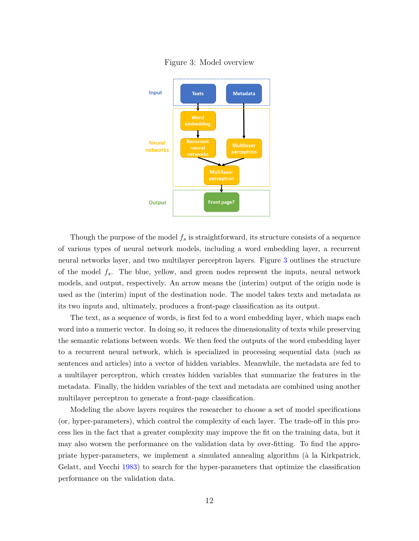<span id="page-11-0"></span>

Figure 3: Model overview

Though the purpose of the model *f<sup>s</sup>* is straightforward, its structure consists of a sequence of various types of neural network models, including a word embedding layer, a recurrent neural networks layer, and two multilayer perceptron layers. Figure [3](#page-11-0) outlines the structure of the model *fs*. The blue, yellow, and green nodes represent the inputs, neural network models, and output, respectively. An arrow means the (interim) output of the origin node is used as the (interim) input of the destination node. The model takes texts and metadata as its two inputs and, ultimately, produces a front-page classification as its output.

The text, as a sequence of words, is first fed to a word embedding layer, which maps each word into a numeric vector. In doing so, it reduces the dimensionality of texts while preserving the semantic relations between words. We then feed the outputs of the word embedding layer to a recurrent neural network, which is specialized in processing sequential data (such as sentences and articles) into a vector of hidden variables. Meanwhile, the metadata are fed to a multilayer perceptron, which creates hidden variables that summarize the features in the metadata. Finally, the hidden variables of the text and metadata are combined using another multilayer perceptron to generate a front-page classification.

Modeling the above layers requires the researcher to choose a set of model specifications (or, hyper-parameters), which control the complexity of each layer. The trade-off in this process lies in the fact that a greater complexity may improve the fit on the training data, but it may also worsen the performance on the validation data by over-fitting. To find the appropriate hyper-parameters, we implement a simulated annealing algorithm (à la Kirkpatrick, Gelatt, and Vecchi [1983\)](#page-32-10) to search for the hyper-parameters that optimize the classification performance on the validation data.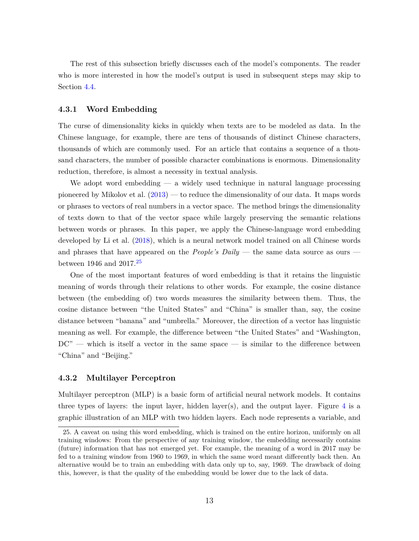The rest of this subsection briefly discusses each of the model's components. The reader who is more interested in how the model's output is used in subsequent steps may skip to Section [4.4.](#page-15-0)

#### **4.3.1 Word Embedding**

The curse of dimensionality kicks in quickly when texts are to be modeled as data. In the Chinese language, for example, there are tens of thousands of distinct Chinese characters, thousands of which are commonly used. For an article that contains a sequence of a thousand characters, the number of possible character combinations is enormous. Dimensionality reduction, therefore, is almost a necessity in textual analysis.

We adopt word embedding  $-$  a widely used technique in natural language processing pioneered by Mikolov et al. [\(2013\)](#page-33-7) — to reduce the dimensionality of our data. It maps words or phrases to vectors of real numbers in a vector space. The method brings the dimensionality of texts down to that of the vector space while largely preserving the semantic relations between words or phrases. In this paper, we apply the Chinese-language word embedding developed by Li et al. [\(2018\)](#page-32-11), which is a neural network model trained on all Chinese words and phrases that have appeared on the *People's Daily* — the same data source as ours between 1946 and  $2017.<sup>25</sup>$  $2017.<sup>25</sup>$  $2017.<sup>25</sup>$ 

One of the most important features of word embedding is that it retains the linguistic meaning of words through their relations to other words. For example, the cosine distance between (the embedding of) two words measures the similarity between them. Thus, the cosine distance between "the United States" and "China" is smaller than, say, the cosine distance between "banana" and "umbrella." Moreover, the direction of a vector has linguistic meaning as well. For example, the difference between "the United States" and "Washington,  $DC"$  — which is itself a vector in the same space — is similar to the difference between "China" and "Beijing."

#### **4.3.2 Multilayer Perceptron**

Multilayer perceptron (MLP) is a basic form of artificial neural network models. It contains three types of layers: the input layer, hidden layer(s), and the output layer. Figure  $4$  is a graphic illustration of an MLP with two hidden layers. Each node represents a variable, and

<span id="page-12-0"></span><sup>25.</sup> A caveat on using this word embedding, which is trained on the entire horizon, uniformly on all training windows: From the perspective of any training window, the embedding necessarily contains (future) information that has not emerged yet. For example, the meaning of a word in 2017 may be fed to a training window from 1960 to 1969, in which the same word meant differently back then. An alternative would be to train an embedding with data only up to, say, 1969. The drawback of doing this, however, is that the quality of the embedding would be lower due to the lack of data.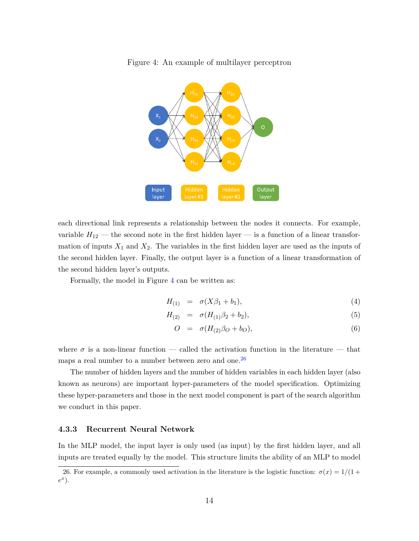

<span id="page-13-0"></span>Figure 4: An example of multilayer perceptron

each directional link represents a relationship between the nodes it connects. For example, variable  $H_{12}$  — the second note in the first hidden layer — is a function of a linear transformation of inputs  $X_1$  and  $X_2$ . The variables in the first hidden layer are used as the inputs of the second hidden layer. Finally, the output layer is a function of a linear transformation of the second hidden layer's outputs.

Formally, the model in Figure [4](#page-13-0) can be written as:

$$
H_{(1)} = \sigma(X\beta_1 + b_1), \tag{4}
$$

$$
H_{(2)} = \sigma(H_{(1)}\beta_2 + b_2), \tag{5}
$$

$$
O = \sigma(H_{(2)}\beta_O + b_O), \tag{6}
$$

where  $\sigma$  is a non-linear function — called the activation function in the literature — that maps a real number to a number between zero and one.<sup>[26](#page-13-1)</sup>

The number of hidden layers and the number of hidden variables in each hidden layer (also known as neurons) are important hyper-parameters of the model specification. Optimizing these hyper-parameters and those in the next model component is part of the search algorithm we conduct in this paper.

#### **4.3.3 Recurrent Neural Network**

In the MLP model, the input layer is only used (as input) by the first hidden layer, and all inputs are treated equally by the model. This structure limits the ability of an MLP to model

<span id="page-13-1"></span><sup>26.</sup> For example, a commonly used activation in the literature is the logistic function:  $\sigma(x) = 1/(1 +$ *e x* ).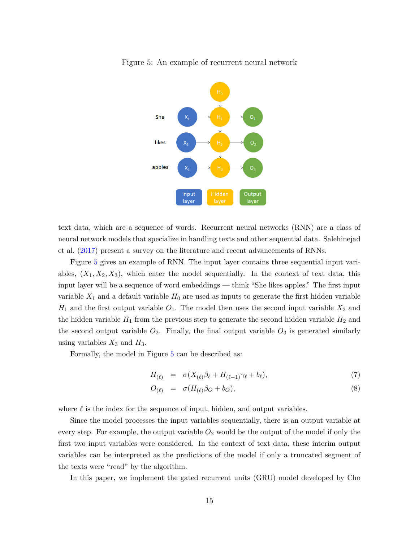

<span id="page-14-0"></span>Figure 5: An example of recurrent neural network

text data, which are a sequence of words. Recurrent neural networks (RNN) are a class of neural network models that specialize in handling texts and other sequential data. Salehinejad et al. [\(2017\)](#page-33-8) present a survey on the literature and recent advancements of RNNs.

Figure [5](#page-14-0) gives an example of RNN. The input layer contains three sequential input variables,  $(X_1, X_2, X_3)$ , which enter the model sequentially. In the context of text data, this input layer will be a sequence of word embeddings — think "She likes apples." The first input variable  $X_1$  and a default variable  $H_0$  are used as inputs to generate the first hidden variable  $H_1$  and the first output variable  $O_1$ . The model then uses the second input variable  $X_2$  and the hidden variable  $H_1$  from the previous step to generate the second hidden variable  $H_2$  and the second output variable  $O_2$ . Finally, the final output variable  $O_3$  is generated similarly using variables  $X_3$  and  $H_3$ .

Formally, the model in Figure [5](#page-14-0) can be described as:

$$
H_{(\ell)} = \sigma(X_{(\ell)}\beta_{\ell} + H_{(\ell-1)}\gamma_{\ell} + b_{\ell}), \tag{7}
$$

$$
O_{(\ell)} = \sigma(H_{(\ell)}\beta_O + b_O), \tag{8}
$$

where  $\ell$  is the index for the sequence of input, hidden, and output variables.

Since the model processes the input variables sequentially, there is an output variable at every step. For example, the output variable  $O_2$  would be the output of the model if only the first two input variables were considered. In the context of text data, these interim output variables can be interpreted as the predictions of the model if only a truncated segment of the texts were "read" by the algorithm.

In this paper, we implement the gated recurrent units (GRU) model developed by Cho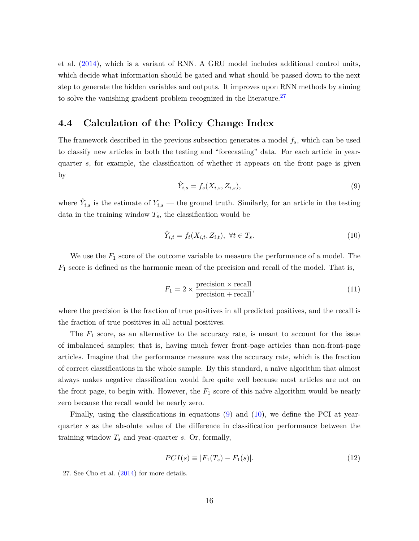et al. [\(2014\)](#page-30-9), which is a variant of RNN. A GRU model includes additional control units, which decide what information should be gated and what should be passed down to the next step to generate the hidden variables and outputs. It improves upon RNN methods by aiming to solve the vanishing gradient problem recognized in the literature.<sup>[27](#page-15-1)</sup>

### <span id="page-15-0"></span>**4.4 Calculation of the Policy Change Index**

The framework described in the previous subsection generates a model *fs*, which can be used to classify new articles in both the testing and "forecasting" data. For each article in yearquarter *s*, for example, the classification of whether it appears on the front page is given by

<span id="page-15-2"></span>
$$
\hat{Y}_{i,s} = f_s(X_{i,s}, Z_{i,s}),\tag{9}
$$

where  $\hat{Y}_{i,s}$  is the estimate of  $Y_{i,s}$  — the ground truth. Similarly, for an article in the testing data in the training window  $T_s$ , the classification would be

<span id="page-15-3"></span>
$$
\hat{Y}_{i,t} = f_t(X_{i,t}, Z_{i,t}), \ \forall t \in T_s. \tag{10}
$$

We use the *F*<sup>1</sup> score of the outcome variable to measure the performance of a model. The  $F_1$  score is defined as the harmonic mean of the precision and recall of the model. That is,

$$
F_1 = 2 \times \frac{\text{precision} \times \text{recall}}{\text{precision} + \text{recall}},\tag{11}
$$

where the precision is the fraction of true positives in all predicted positives, and the recall is the fraction of true positives in all actual positives.

The  $F_1$  score, as an alternative to the accuracy rate, is meant to account for the issue of imbalanced samples; that is, having much fewer front-page articles than non-front-page articles. Imagine that the performance measure was the accuracy rate, which is the fraction of correct classifications in the whole sample. By this standard, a naïve algorithm that almost always makes negative classification would fare quite well because most articles are not on the front page, to begin with. However, the *F*<sup>1</sup> score of this naïve algorithm would be nearly zero because the recall would be nearly zero.

Finally, using the classifications in equations  $(9)$  and  $(10)$ , we define the PCI at yearquarter *s* as the absolute value of the difference in classification performance between the training window *T<sup>s</sup>* and year-quarter *s*. Or, formally,

$$
PCI(s) \equiv |F_1(T_s) - F_1(s)|. \tag{12}
$$

<span id="page-15-1"></span><sup>27.</sup> See Cho et al. [\(2014\)](#page-30-9) for more details.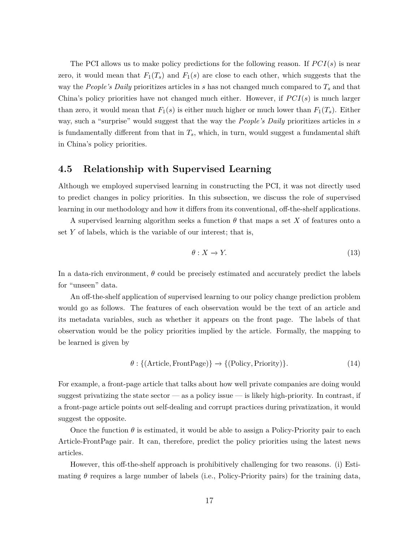The PCI allows us to make policy predictions for the following reason. If  $PCI(s)$  is near zero, it would mean that  $F_1(T_s)$  and  $F_1(s)$  are close to each other, which suggests that the way the *People's Daily* prioritizes articles in *s* has not changed much compared to *T<sup>s</sup>* and that China's policy priorities have not changed much either. However, if  $PCI(s)$  is much larger than zero, it would mean that  $F_1(s)$  is either much higher or much lower than  $F_1(T_s)$ . Either way, such a "surprise" would suggest that the way the *People's Daily* prioritizes articles in *s* is fundamentally different from that in  $T_s$ , which, in turn, would suggest a fundamental shift in China's policy priorities.

### **4.5 Relationship with Supervised Learning**

Although we employed supervised learning in constructing the PCI, it was not directly used to predict changes in policy priorities. In this subsection, we discuss the role of supervised learning in our methodology and how it differs from its conventional, off-the-shelf applications.

A supervised learning algorithm seeks a function *θ* that maps a set *X* of features onto a set *Y* of labels, which is the variable of our interest; that is,

$$
\theta: X \to Y. \tag{13}
$$

In a data-rich environment, *θ* could be precisely estimated and accurately predict the labels for "unseen" data.

An off-the-shelf application of supervised learning to our policy change prediction problem would go as follows. The features of each observation would be the text of an article and its metadata variables, such as whether it appears on the front page. The labels of that observation would be the policy priorities implied by the article. Formally, the mapping to be learned is given by

$$
\theta: \{(\text{Article, FrontPage})\} \to \{(\text{Policy, Priority})\}.
$$
\n(14)

For example, a front-page article that talks about how well private companies are doing would suggest privatizing the state sector — as a policy issue — is likely high-priority. In contrast, if a front-page article points out self-dealing and corrupt practices during privatization, it would suggest the opposite.

Once the function  $\theta$  is estimated, it would be able to assign a Policy-Priority pair to each Article-FrontPage pair. It can, therefore, predict the policy priorities using the latest news articles.

However, this off-the-shelf approach is prohibitively challenging for two reasons. (i) Estimating *θ* requires a large number of labels (i.e., Policy-Priority pairs) for the training data,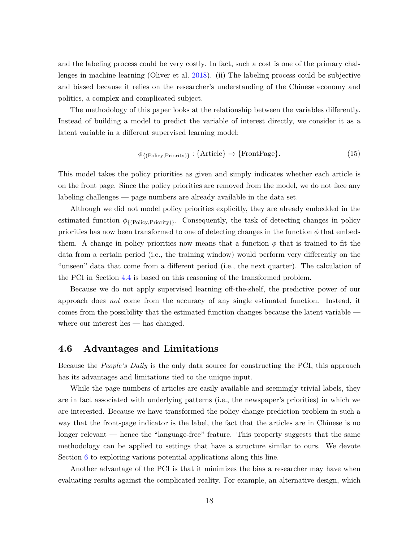and the labeling process could be very costly. In fact, such a cost is one of the primary challenges in machine learning (Oliver et al. [2018\)](#page-33-9). (ii) The labeling process could be subjective and biased because it relies on the researcher's understanding of the Chinese economy and politics, a complex and complicated subject.

The methodology of this paper looks at the relationship between the variables differently. Instead of building a model to predict the variable of interest directly, we consider it as a latent variable in a different supervised learning model:

$$
\phi_{\{(\text{Policy},\text{Priority})\}}: \{\text{Article}\} \to \{\text{FrontPage}\}. \tag{15}
$$

This model takes the policy priorities as given and simply indicates whether each article is on the front page. Since the policy priorities are removed from the model, we do not face any labeling challenges — page numbers are already available in the data set.

Although we did not model policy priorities explicitly, they are already embedded in the estimated function  $\phi_{\{(\text{Policy}, \text{Priority})\}}$ . Consequently, the task of detecting changes in policy priorities has now been transformed to one of detecting changes in the function  $\phi$  that embeds them. A change in policy priorities now means that a function  $\phi$  that is trained to fit the data from a certain period (i.e., the training window) would perform very differently on the "unseen" data that come from a different period (i.e., the next quarter). The calculation of the PCI in Section [4.4](#page-15-0) is based on this reasoning of the transformed problem.

Because we do not apply supervised learning off-the-shelf, the predictive power of our approach does *not* come from the accuracy of any single estimated function. Instead, it comes from the possibility that the estimated function changes because the latent variable where our interest lies — has changed.

### <span id="page-17-0"></span>**4.6 Advantages and Limitations**

Because the *People's Daily* is the only data source for constructing the PCI, this approach has its advantages and limitations tied to the unique input.

While the page numbers of articles are easily available and seemingly trivial labels, they are in fact associated with underlying patterns (i.e., the newspaper's priorities) in which we are interested. Because we have transformed the policy change prediction problem in such a way that the front-page indicator is the label, the fact that the articles are in Chinese is no longer relevant — hence the "language-free" feature. This property suggests that the same methodology can be applied to settings that have a structure similar to ours. We devote Section [6](#page-27-0) to exploring various potential applications along this line.

Another advantage of the PCI is that it minimizes the bias a researcher may have when evaluating results against the complicated reality. For example, an alternative design, which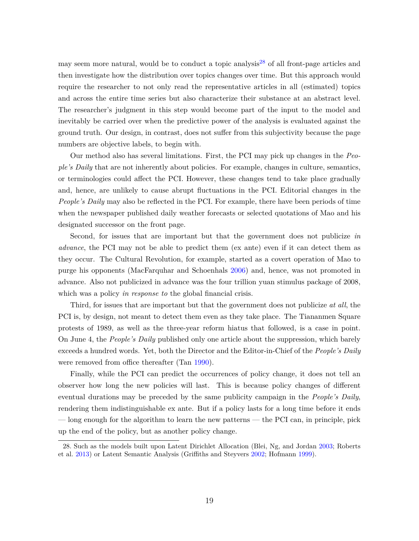may seem more natural, would be to conduct a topic analysis<sup>[28](#page-18-0)</sup> of all front-page articles and then investigate how the distribution over topics changes over time. But this approach would require the researcher to not only read the representative articles in all (estimated) topics and across the entire time series but also characterize their substance at an abstract level. The researcher's judgment in this step would become part of the input to the model and inevitably be carried over when the predictive power of the analysis is evaluated against the ground truth. Our design, in contrast, does not suffer from this subjectivity because the page numbers are objective labels, to begin with.

Our method also has several limitations. First, the PCI may pick up changes in the *People's Daily* that are not inherently about policies. For example, changes in culture, semantics, or terminologies could affect the PCI. However, these changes tend to take place gradually and, hence, are unlikely to cause abrupt fluctuations in the PCI. Editorial changes in the *People's Daily* may also be reflected in the PCI. For example, there have been periods of time when the newspaper published daily weather forecasts or selected quotations of Mao and his designated successor on the front page.

Second, for issues that are important but that the government does not publicize *in advance*, the PCI may not be able to predict them (ex ante) even if it can detect them as they occur. The Cultural Revolution, for example, started as a covert operation of Mao to purge his opponents (MacFarquhar and Schoenhals [2006\)](#page-32-12) and, hence, was not promoted in advance. Also not publicized in advance was the four trillion yuan stimulus package of 2008, which was a policy *in response to* the global financial crisis.

Third, for issues that are important but that the government does not publicize *at all*, the PCI is, by design, not meant to detect them even as they take place. The Tiananmen Square protests of 1989, as well as the three-year reform hiatus that followed, is a case in point. On June 4, the *People's Daily* published only one article about the suppression, which barely exceeds a hundred words. Yet, both the Director and the Editor-in-Chief of the *People's Daily* were removed from office thereafter (Tan [1990\)](#page-34-10).

Finally, while the PCI can predict the occurrences of policy change, it does not tell an observer how long the new policies will last. This is because policy changes of different eventual durations may be preceded by the same publicity campaign in the *People's Daily*, rendering them indistinguishable ex ante. But if a policy lasts for a long time before it ends — long enough for the algorithm to learn the new patterns — the PCI can, in principle, pick up the end of the policy, but as another policy change.

<span id="page-18-0"></span><sup>28.</sup> Such as the models built upon Latent Dirichlet Allocation (Blei, Ng, and Jordan [2003;](#page-30-10) Roberts et al. [2013\)](#page-33-10) or Latent Semantic Analysis (Griffiths and Steyvers [2002;](#page-31-12) Hofmann [1999\)](#page-31-13).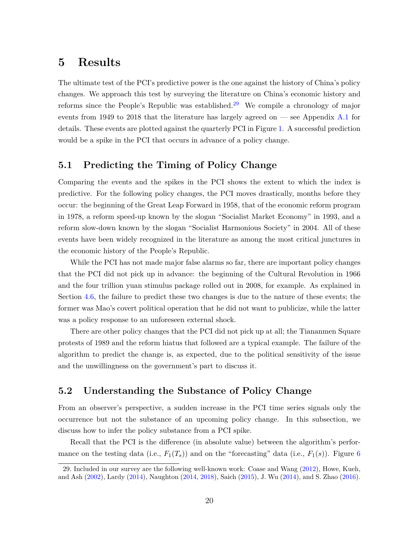# <span id="page-19-0"></span>**5 Results**

The ultimate test of the PCI's predictive power is the one against the history of China's policy changes. We approach this test by surveying the literature on China's economic history and reforms since the People's Republic was established.<sup>[29](#page-19-1)</sup> We compile a chronology of major events from 1949 to 2018 that the literature has largely agreed on  $-$  see Appendix [A.1](#page-36-1) for details. These events are plotted against the quarterly PCI in Figure [1.](#page-3-0) A successful prediction would be a spike in the PCI that occurs in advance of a policy change.

### **5.1 Predicting the Timing of Policy Change**

Comparing the events and the spikes in the PCI shows the extent to which the index is predictive. For the following policy changes, the PCI moves drastically, months before they occur: the beginning of the Great Leap Forward in 1958, that of the economic reform program in 1978, a reform speed-up known by the slogan "Socialist Market Economy" in 1993, and a reform slow-down known by the slogan "Socialist Harmonious Society" in 2004. All of these events have been widely recognized in the literature as among the most critical junctures in the economic history of the People's Republic.

While the PCI has not made major false alarms so far, there are important policy changes that the PCI did not pick up in advance: the beginning of the Cultural Revolution in 1966 and the four trillion yuan stimulus package rolled out in 2008, for example. As explained in Section [4.6,](#page-17-0) the failure to predict these two changes is due to the nature of these events; the former was Mao's covert political operation that he did not want to publicize, while the latter was a policy response to an unforeseen external shock.

There are other policy changes that the PCI did not pick up at all; the Tiananmen Square protests of 1989 and the reform hiatus that followed are a typical example. The failure of the algorithm to predict the change is, as expected, due to the political sensitivity of the issue and the unwillingness on the government's part to discuss it.

### **5.2 Understanding the Substance of Policy Change**

From an observer's perspective, a sudden increase in the PCI time series signals only the occurrence but not the substance of an upcoming policy change. In this subsection, we discuss how to infer the policy substance from a PCI spike.

Recall that the PCI is the difference (in absolute value) between the algorithm's performance on the testing data (i.e.,  $F_1(T_s)$ ) and on the "forecasting" data (i.e.,  $F_1(s)$ ). Figure [6](#page-21-0)

<span id="page-19-1"></span><sup>29.</sup> Included in our survey are the following well-known work: Coase and Wang [\(2012\)](#page-30-11), Howe, Kueh, and Ash [\(2002\)](#page-31-14), Lardy [\(2014\)](#page-32-13), Naughton [\(2014,](#page-33-11) [2018\)](#page-33-12), Saich [\(2015\)](#page-33-13), J. Wu [\(2014\)](#page-34-11), and S. Zhao [\(2016\)](#page-35-3).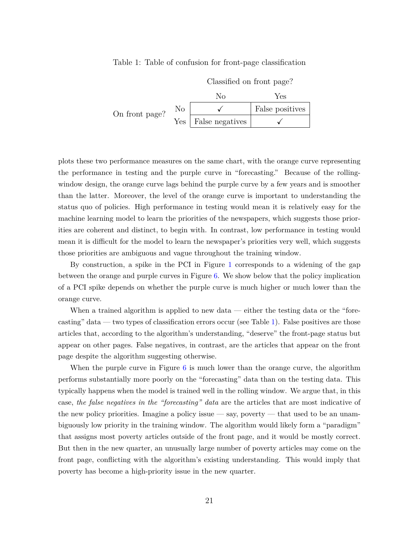#### <span id="page-20-0"></span>Table 1: Table of confusion for front-page classification

|                |                  | Classified on front page? |                 |
|----------------|------------------|---------------------------|-----------------|
|                |                  | Nο                        | Yes             |
| On front page? | No               |                           | False positives |
|                | Yes <sub>1</sub> | False negatives           |                 |

plots these two performance measures on the same chart, with the orange curve representing the performance in testing and the purple curve in "forecasting." Because of the rollingwindow design, the orange curve lags behind the purple curve by a few years and is smoother than the latter. Moreover, the level of the orange curve is important to understanding the status quo of policies. High performance in testing would mean it is relatively easy for the machine learning model to learn the priorities of the newspapers, which suggests those priorities are coherent and distinct, to begin with. In contrast, low performance in testing would mean it is difficult for the model to learn the newspaper's priorities very well, which suggests those priorities are ambiguous and vague throughout the training window.

By construction, a spike in the PCI in Figure [1](#page-3-0) corresponds to a widening of the gap between the orange and purple curves in Figure [6.](#page-21-0) We show below that the policy implication of a PCI spike depends on whether the purple curve is much higher or much lower than the orange curve.

When a trained algorithm is applied to new data — either the testing data or the "forecasting" data — two types of classification errors occur (see Table [1\)](#page-20-0). False positives are those articles that, according to the algorithm's understanding, "deserve" the front-page status but appear on other pages. False negatives, in contrast, are the articles that appear on the front page despite the algorithm suggesting otherwise.

When the purple curve in Figure [6](#page-21-0) is much lower than the orange curve, the algorithm performs substantially more poorly on the "forecasting" data than on the testing data. This typically happens when the model is trained well in the rolling window. We argue that, in this case, *the false negatives in the "forecasting" data* are the articles that are most indicative of the new policy priorities. Imagine a policy issue  $-\text{say}$ , poverty  $-\text{that}$  used to be an unambiguously low priority in the training window. The algorithm would likely form a "paradigm" that assigns most poverty articles outside of the front page, and it would be mostly correct. But then in the new quarter, an unusually large number of poverty articles may come on the front page, conflicting with the algorithm's existing understanding. This would imply that poverty has become a high-priority issue in the new quarter.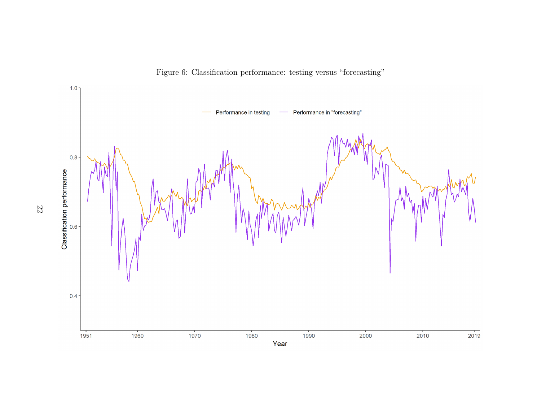<span id="page-21-0"></span>

Figure 6: Classification performance: testing versus "forecasting"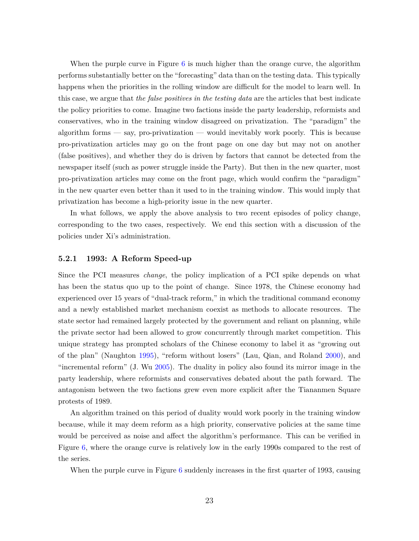When the purple curve in Figure [6](#page-21-0) is much higher than the orange curve, the algorithm performs substantially better on the "forecasting" data than on the testing data. This typically happens when the priorities in the rolling window are difficult for the model to learn well. In this case, we argue that *the false positives in the testing data* are the articles that best indicate the policy priorities to come. Imagine two factions inside the party leadership, reformists and conservatives, who in the training window disagreed on privatization. The "paradigm" the algorithm forms — say, pro-privatization — would inevitably work poorly. This is because pro-privatization articles may go on the front page on one day but may not on another (false positives), and whether they do is driven by factors that cannot be detected from the newspaper itself (such as power struggle inside the Party). But then in the new quarter, most pro-privatization articles may come on the front page, which would confirm the "paradigm" in the new quarter even better than it used to in the training window. This would imply that privatization has become a high-priority issue in the new quarter.

In what follows, we apply the above analysis to two recent episodes of policy change, corresponding to the two cases, respectively. We end this section with a discussion of the policies under Xi's administration.

#### <span id="page-22-0"></span>**5.2.1 1993: A Reform Speed-up**

Since the PCI measures *change*, the policy implication of a PCI spike depends on what has been the status quo up to the point of change. Since 1978, the Chinese economy had experienced over 15 years of "dual-track reform," in which the traditional command economy and a newly established market mechanism coexist as methods to allocate resources. The state sector had remained largely protected by the government and reliant on planning, while the private sector had been allowed to grow concurrently through market competition. This unique strategy has prompted scholars of the Chinese economy to label it as "growing out of the plan" (Naughton [1995\)](#page-33-14), "reform without losers" (Lau, Qian, and Roland [2000\)](#page-32-14), and "incremental reform" (J. Wu [2005\)](#page-34-12). The duality in policy also found its mirror image in the party leadership, where reformists and conservatives debated about the path forward. The antagonism between the two factions grew even more explicit after the Tiananmen Square protests of 1989.

An algorithm trained on this period of duality would work poorly in the training window because, while it may deem reform as a high priority, conservative policies at the same time would be perceived as noise and affect the algorithm's performance. This can be verified in Figure [6,](#page-21-0) where the orange curve is relatively low in the early 1990s compared to the rest of the series.

When the purple curve in Figure [6](#page-21-0) suddenly increases in the first quarter of 1993, causing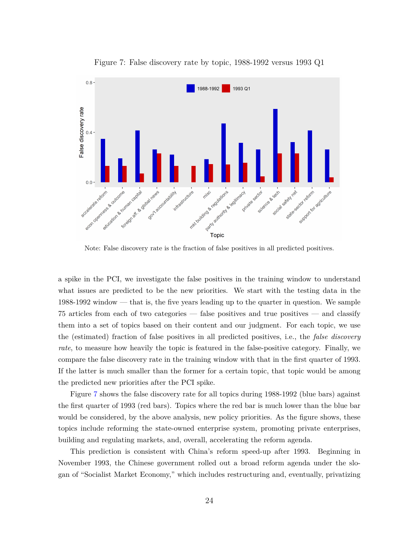<span id="page-23-0"></span>

Figure 7: False discovery rate by topic, 1988-1992 versus 1993 Q1

Note: False discovery rate is the fraction of false positives in all predicted positives.

a spike in the PCI, we investigate the false positives in the training window to understand what issues are predicted to be the new priorities. We start with the testing data in the 1988-1992 window — that is, the five years leading up to the quarter in question. We sample 75 articles from each of two categories — false positives and true positives — and classify them into a set of topics based on their content and our judgment. For each topic, we use the (estimated) fraction of false positives in all predicted positives, i.e., the *false discovery rate*, to measure how heavily the topic is featured in the false-positive category. Finally, we compare the false discovery rate in the training window with that in the first quarter of 1993. If the latter is much smaller than the former for a certain topic, that topic would be among the predicted new priorities after the PCI spike.

Figure [7](#page-23-0) shows the false discovery rate for all topics during 1988-1992 (blue bars) against the first quarter of 1993 (red bars). Topics where the red bar is much lower than the blue bar would be considered, by the above analysis, new policy priorities. As the figure shows, these topics include reforming the state-owned enterprise system, promoting private enterprises, building and regulating markets, and, overall, accelerating the reform agenda.

This prediction is consistent with China's reform speed-up after 1993. Beginning in November 1993, the Chinese government rolled out a broad reform agenda under the slogan of "Socialist Market Economy," which includes restructuring and, eventually, privatizing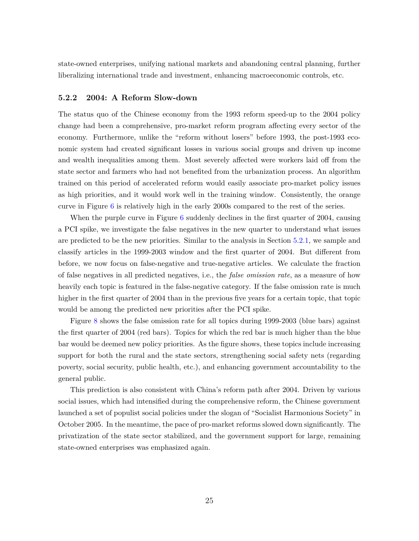state-owned enterprises, unifying national markets and abandoning central planning, further liberalizing international trade and investment, enhancing macroeconomic controls, etc.

#### <span id="page-24-0"></span>**5.2.2 2004: A Reform Slow-down**

The status quo of the Chinese economy from the 1993 reform speed-up to the 2004 policy change had been a comprehensive, pro-market reform program affecting every sector of the economy. Furthermore, unlike the "reform without losers" before 1993, the post-1993 economic system had created significant losses in various social groups and driven up income and wealth inequalities among them. Most severely affected were workers laid off from the state sector and farmers who had not benefited from the urbanization process. An algorithm trained on this period of accelerated reform would easily associate pro-market policy issues as high priorities, and it would work well in the training window. Consistently, the orange curve in Figure [6](#page-21-0) is relatively high in the early 2000s compared to the rest of the series.

When the purple curve in Figure [6](#page-21-0) suddenly declines in the first quarter of 2004, causing a PCI spike, we investigate the false negatives in the new quarter to understand what issues are predicted to be the new priorities. Similar to the analysis in Section [5.2.1,](#page-22-0) we sample and classify articles in the 1999-2003 window and the first quarter of 2004. But different from before, we now focus on false-negative and true-negative articles. We calculate the fraction of false negatives in all predicted negatives, i.e., the *false omission rate*, as a measure of how heavily each topic is featured in the false-negative category. If the false omission rate is much higher in the first quarter of 2004 than in the previous five years for a certain topic, that topic would be among the predicted new priorities after the PCI spike.

Figure [8](#page-25-0) shows the false omission rate for all topics during 1999-2003 (blue bars) against the first quarter of 2004 (red bars). Topics for which the red bar is much higher than the blue bar would be deemed new policy priorities. As the figure shows, these topics include increasing support for both the rural and the state sectors, strengthening social safety nets (regarding poverty, social security, public health, etc.), and enhancing government accountability to the general public.

This prediction is also consistent with China's reform path after 2004. Driven by various social issues, which had intensified during the comprehensive reform, the Chinese government launched a set of populist social policies under the slogan of "Socialist Harmonious Society" in October 2005. In the meantime, the pace of pro-market reforms slowed down significantly. The privatization of the state sector stabilized, and the government support for large, remaining state-owned enterprises was emphasized again.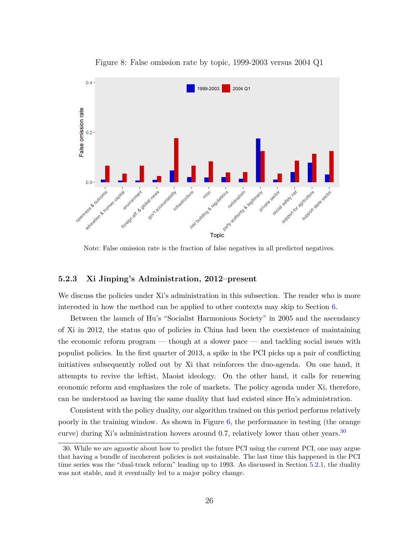<span id="page-25-0"></span>

Figure 8: False omission rate by topic, 1999-2003 versus 2004 Q1

Note: False omission rate is the fraction of false negatives in all predicted negatives.

#### **5.2.3 Xi Jinping's Administration, 2012–present**

We discuss the policies under Xi's administration in this subsection. The reader who is more interested in how the method can be applied to other contexts may skip to Section [6.](#page-27-0)

Between the launch of Hu's "Socialist Harmonious Society" in 2005 and the ascendancy of Xi in 2012, the status quo of policies in China had been the coexistence of maintaining the economic reform program — though at a slower pace — and tackling social issues with populist policies. In the first quarter of 2013, a spike in the PCI picks up a pair of conflicting initiatives subsequently rolled out by Xi that reinforces the duo-agenda. On one hand, it attempts to revive the leftist, Maoist ideology. On the other hand, it calls for renewing economic reform and emphasizes the role of markets. The policy agenda under Xi, therefore, can be understood as having the same duality that had existed since Hu's administration.

Consistent with the policy duality, our algorithm trained on this period performs relatively poorly in the training window. As shown in Figure [6,](#page-21-0) the performance in testing (the orange curve) during Xi's administration hovers around 0.7, relatively lower than other years.<sup>[30](#page-25-1)</sup>

<span id="page-25-1"></span><sup>30.</sup> While we are agnostic about how to predict the future PCI using the current PCI, one may argue that having a bundle of incoherent policies is not sustainable. The last time this happened in the PCI time series was the "dual-track reform" leading up to 1993. As discussed in Section [5.2.1,](#page-22-0) the duality was not stable, and it eventually led to a major policy change.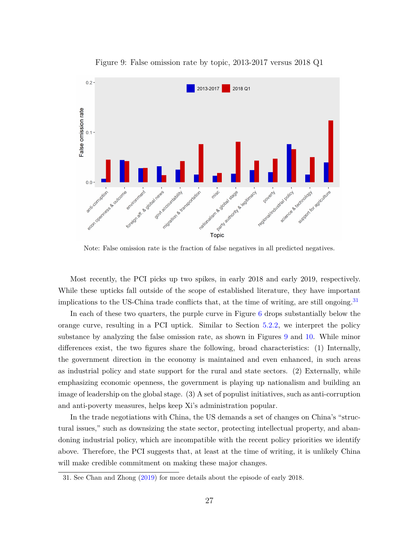<span id="page-26-1"></span>

Figure 9: False omission rate by topic, 2013-2017 versus 2018 Q1

Note: False omission rate is the fraction of false negatives in all predicted negatives.

Most recently, the PCI picks up two spikes, in early 2018 and early 2019, respectively. While these upticks fall outside of the scope of established literature, they have important implications to the US-China trade conflicts that, at the time of writing, are still ongoing.<sup>[31](#page-26-0)</sup>

In each of these two quarters, the purple curve in Figure [6](#page-21-0) drops substantially below the orange curve, resulting in a PCI uptick. Similar to Section [5.2.2,](#page-24-0) we interpret the policy substance by analyzing the false omission rate, as shown in Figures [9](#page-26-1) and [10.](#page-27-1) While minor differences exist, the two figures share the following, broad characteristics: (1) Internally, the government direction in the economy is maintained and even enhanced, in such areas as industrial policy and state support for the rural and state sectors. (2) Externally, while emphasizing economic openness, the government is playing up nationalism and building an image of leadership on the global stage. (3) A set of populist initiatives, such as anti-corruption and anti-poverty measures, helps keep Xi's administration popular.

In the trade negotiations with China, the US demands a set of changes on China's "structural issues," such as downsizing the state sector, protecting intellectual property, and abandoning industrial policy, which are incompatible with the recent policy priorities we identify above. Therefore, the PCI suggests that, at least at the time of writing, it is unlikely China will make credible commitment on making these major changes.

<span id="page-26-0"></span><sup>31.</sup> See Chan and Zhong [\(2019\)](#page-30-12) for more details about the episode of early 2018.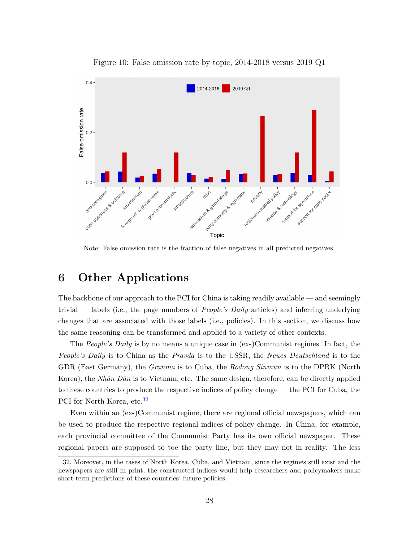<span id="page-27-1"></span>

Figure 10: False omission rate by topic, 2014-2018 versus 2019 Q1

Note: False omission rate is the fraction of false negatives in all predicted negatives.

# <span id="page-27-0"></span>**6 Other Applications**

The backbone of our approach to the PCI for China is taking readily available — and seemingly trivial — labels (i.e., the page numbers of *People's Daily* articles) and inferring underlying changes that are associated with those labels (i.e., policies). In this section, we discuss how the same reasoning can be transformed and applied to a variety of other contexts.

The *People's Daily* is by no means a unique case in (ex-)Communist regimes. In fact, the *People's Daily* is to China as the *Pravda* is to the USSR, the *Neues Deutschland* is to the GDR (East Germany), the *Granma* is to Cuba, the *Rodong Sinmun* is to the DPRK (North Korea), the *Nhân Dân* is to Vietnam, etc. The same design, therefore, can be directly applied to these countries to produce the respective indices of policy change — the PCI for Cuba, the PCI for North Korea, etc.<sup>[32](#page-27-2)</sup>

Even within an (ex-)Communist regime, there are regional official newspapers, which can be used to produce the respective regional indices of policy change. In China, for example, each provincial committee of the Communist Party has its own official newspaper. These regional papers are supposed to toe the party line, but they may not in reality. The less

<span id="page-27-2"></span><sup>32.</sup> Moreover, in the cases of North Korea, Cuba, and Vietnam, since the regimes still exist and the newspapers are still in print, the constructed indices would help researchers and policymakers make short-term predictions of these countries' future policies.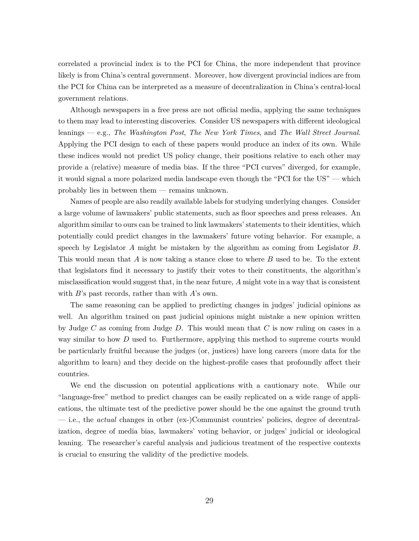correlated a provincial index is to the PCI for China, the more independent that province likely is from China's central government. Moreover, how divergent provincial indices are from the PCI for China can be interpreted as a measure of decentralization in China's central-local government relations.

Although newspapers in a free press are not official media, applying the same techniques to them may lead to interesting discoveries. Consider US newspapers with different ideological leanings — e.g., *The Washington Post*, *The New York Times*, and *The Wall Street Journal*. Applying the PCI design to each of these papers would produce an index of its own. While these indices would not predict US policy change, their positions relative to each other may provide a (relative) measure of media bias. If the three "PCI curves" diverged, for example, it would signal a more polarized media landscape even though the "PCI for the US" — which probably lies in between them — remains unknown.

Names of people are also readily available labels for studying underlying changes. Consider a large volume of lawmakers' public statements, such as floor speeches and press releases. An algorithm similar to ours can be trained to link lawmakers' statements to their identities, which potentially could predict changes in the lawmakers' future voting behavior. For example, a speech by Legislator *A* might be mistaken by the algorithm as coming from Legislator *B*. This would mean that *A* is now taking a stance close to where *B* used to be. To the extent that legislators find it necessary to justify their votes to their constituents, the algorithm's misclassification would suggest that, in the near future, *A* might vote in a way that is consistent with *B*'s past records, rather than with *A*'s own.

The same reasoning can be applied to predicting changes in judges' judicial opinions as well. An algorithm trained on past judicial opinions might mistake a new opinion written by Judge *C* as coming from Judge *D*. This would mean that *C* is now ruling on cases in a way similar to how *D* used to. Furthermore, applying this method to supreme courts would be particularly fruitful because the judges (or, justices) have long careers (more data for the algorithm to learn) and they decide on the highest-profile cases that profoundly affect their countries.

We end the discussion on potential applications with a cautionary note. While our "language-free" method to predict changes can be easily replicated on a wide range of applications, the ultimate test of the predictive power should be the one against the ground truth — i.e., the *actual* changes in other (ex-)Communist countries' policies, degree of decentralization, degree of media bias, lawmakers' voting behavior, or judges' judicial or ideological leaning. The researcher's careful analysis and judicious treatment of the respective contexts is crucial to ensuring the validity of the predictive models.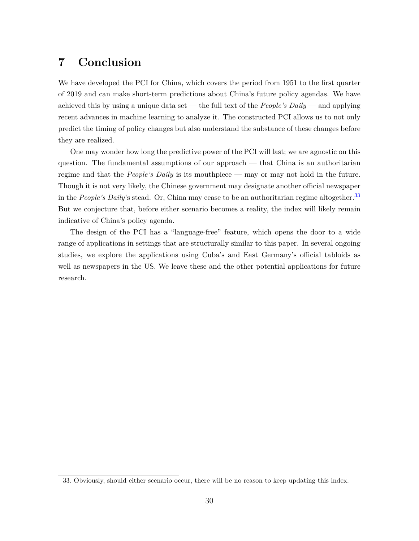# **7 Conclusion**

We have developed the PCI for China, which covers the period from 1951 to the first quarter of 2019 and can make short-term predictions about China's future policy agendas. We have achieved this by using a unique data set — the full text of the *People's Daily* — and applying recent advances in machine learning to analyze it. The constructed PCI allows us to not only predict the timing of policy changes but also understand the substance of these changes before they are realized.

One may wonder how long the predictive power of the PCI will last; we are agnostic on this question. The fundamental assumptions of our approach — that China is an authoritarian regime and that the *People's Daily* is its mouthpiece — may or may not hold in the future. Though it is not very likely, the Chinese government may designate another official newspaper in the *People's Daily's* stead. Or, China may cease to be an authoritarian regime altogether.<sup>[33](#page-29-0)</sup> But we conjecture that, before either scenario becomes a reality, the index will likely remain indicative of China's policy agenda.

The design of the PCI has a "language-free" feature, which opens the door to a wide range of applications in settings that are structurally similar to this paper. In several ongoing studies, we explore the applications using Cuba's and East Germany's official tabloids as well as newspapers in the US. We leave these and the other potential applications for future research.

<span id="page-29-0"></span><sup>33.</sup> Obviously, should either scenario occur, there will be no reason to keep updating this index.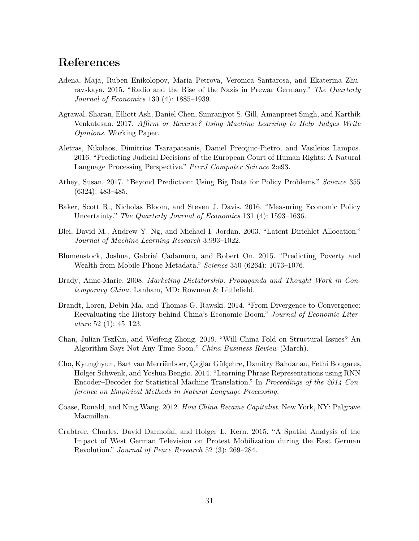# **References**

- <span id="page-30-2"></span>Adena, Maja, Ruben Enikolopov, Maria Petrova, Veronica Santarosa, and Ekaterina Zhuravskaya. 2015. "Radio and the Rise of the Nazis in Prewar Germany." *The Quarterly Journal of Economics* 130 (4): 1885–1939.
- <span id="page-30-5"></span>Agrawal, Sharan, Elliott Ash, Daniel Chen, Simranjyot S. Gill, Amanpreet Singh, and Karthik Venkatesan. 2017. *Affirm or Reverse? Using Machine Learning to Help Judges Write Opinions.* Working Paper.
- <span id="page-30-6"></span>Aletras, Nikolaos, Dimitrios Tsarapatsanis, Daniel Preoţiuc-Pietro, and Vasileios Lampos. 2016. "Predicting Judicial Decisions of the European Court of Human Rights: A Natural Language Processing Perspective." *PeerJ Computer Science* 2:e93.
- <span id="page-30-4"></span>Athey, Susan. 2017. "Beyond Prediction: Using Big Data for Policy Problems." *Science* 355 (6324): 483–485.
- <span id="page-30-1"></span>Baker, Scott R., Nicholas Bloom, and Steven J. Davis. 2016. "Measuring Economic Policy Uncertainty." *The Quarterly Journal of Economics* 131 (4): 1593–1636.
- <span id="page-30-10"></span>Blei, David M., Andrew Y. Ng, and Michael I. Jordan. 2003. "Latent Dirichlet Allocation." *Journal of Machine Learning Research* 3:993–1022.
- <span id="page-30-7"></span>Blumenstock, Joshua, Gabriel Cadamuro, and Robert On. 2015. "Predicting Poverty and Wealth from Mobile Phone Metadata." *Science* 350 (6264): 1073–1076.
- <span id="page-30-8"></span>Brady, Anne-Marie. 2008. *Marketing Dictatorship: Propaganda and Thought Work in Contemporary China.* Lanham, MD: Rowman & Littlefield.
- <span id="page-30-0"></span>Brandt, Loren, Debin Ma, and Thomas G. Rawski. 2014. "From Divergence to Convergence: Reevaluating the History behind China's Economic Boom." *Journal of Economic Literature* 52 (1): 45–123.
- <span id="page-30-12"></span>Chan, Julian TszKin, and Weifeng Zhong. 2019. "Will China Fold on Structural Issues? An Algorithm Says Not Any Time Soon." *China Business Review* (March).
- <span id="page-30-9"></span>Cho, Kyunghyun, Bart van Merriënboer, Çağlar Gülçehre, Dzmitry Bahdanau, Fethi Bougares, Holger Schwenk, and Yoshua Bengio. 2014. "Learning Phrase Representations using RNN Encoder–Decoder for Statistical Machine Translation." In *Proceedings of the 2014 Conference on Empirical Methods in Natural Language Processing.*
- <span id="page-30-11"></span>Coase, Ronald, and Ning Wang. 2012. *How China Became Capitalist.* New York, NY: Palgrave Macmillan.
- <span id="page-30-3"></span>Crabtree, Charles, David Darmofal, and Holger L. Kern. 2015. "A Spatial Analysis of the Impact of West German Television on Protest Mobilization during the East German Revolution." *Journal of Peace Research* 52 (3): 269–284.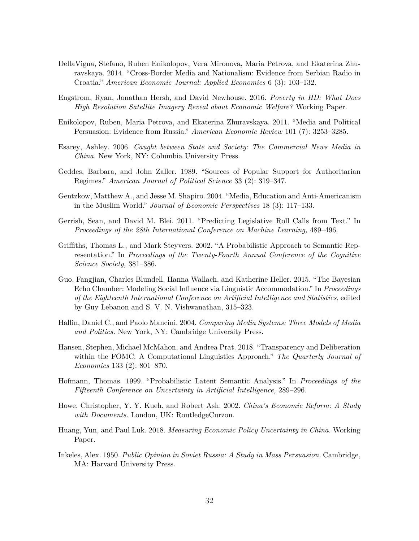- <span id="page-31-9"></span>DellaVigna, Stefano, Ruben Enikolopov, Vera Mironova, Maria Petrova, and Ekaterina Zhuravskaya. 2014. "Cross-Border Media and Nationalism: Evidence from Serbian Radio in Croatia." *American Economic Journal: Applied Economics* 6 (3): 103–132.
- <span id="page-31-10"></span>Engstrom, Ryan, Jonathan Hersh, and David Newhouse. 2016. *Poverty in HD: What Does High Resolution Satellite Imagery Reveal about Economic Welfare?* Working Paper.
- <span id="page-31-3"></span>Enikolopov, Ruben, Maria Petrova, and Ekaterina Zhuravskaya. 2011. "Media and Political Persuasion: Evidence from Russia." *American Economic Review* 101 (7): 3253–3285.
- <span id="page-31-11"></span>Esarey, Ashley. 2006. *Caught between State and Society: The Commercial News Media in China.* New York, NY: Columbia University Press.
- <span id="page-31-5"></span>Geddes, Barbara, and John Zaller. 1989. "Sources of Popular Support for Authoritarian Regimes." *American Journal of Political Science* 33 (2): 319–347.
- <span id="page-31-4"></span>Gentzkow, Matthew A., and Jesse M. Shapiro. 2004. "Media, Education and Anti-Americanism in the Muslim World." *Journal of Economic Perspectives* 18 (3): 117–133.
- <span id="page-31-8"></span>Gerrish, Sean, and David M. Blei. 2011. "Predicting Legislative Roll Calls from Text." In *Proceedings of the 28th International Conference on Machine Learning,* 489–496.
- <span id="page-31-12"></span>Griffiths, Thomas L., and Mark Steyvers. 2002. "A Probabilistic Approach to Semantic Representation." In *Proceedings of the Twenty-Fourth Annual Conference of the Cognitive Science Society,* 381–386.
- <span id="page-31-6"></span>Guo, Fangjian, Charles Blundell, Hanna Wallach, and Katherine Heller. 2015. "The Bayesian Echo Chamber: Modeling Social Influence via Linguistic Accommodation." In *Proceedings of the Eighteenth International Conference on Artificial Intelligence and Statistics,* edited by Guy Lebanon and S. V. N. Vishwanathan, 315–323.
- <span id="page-31-2"></span>Hallin, Daniel C., and Paolo Mancini. 2004. *Comparing Media Systems: Three Models of Media and Politics.* New York, NY: Cambridge University Press.
- <span id="page-31-7"></span>Hansen, Stephen, Michael McMahon, and Andrea Prat. 2018. "Transparency and Deliberation within the FOMC: A Computational Linguistics Approach." *The Quarterly Journal of Economics* 133 (2): 801–870.
- <span id="page-31-13"></span>Hofmann, Thomas. 1999. "Probabilistic Latent Semantic Analysis." In *Proceedings of the Fifteenth Conference on Uncertainty in Artificial Intelligence,* 289–296.
- <span id="page-31-14"></span>Howe, Christopher, Y. Y. Kueh, and Robert Ash. 2002. *China's Economic Reform: A Study with Documents.* London, UK: RoutledgeCurzon.
- <span id="page-31-0"></span>Huang, Yun, and Paul Luk. 2018. *Measuring Economic Policy Uncertainty in China.* Working Paper.
- <span id="page-31-1"></span>Inkeles, Alex. 1950. *Public Opinion in Soviet Russia: A Study in Mass Persuasion.* Cambridge, MA: Harvard University Press.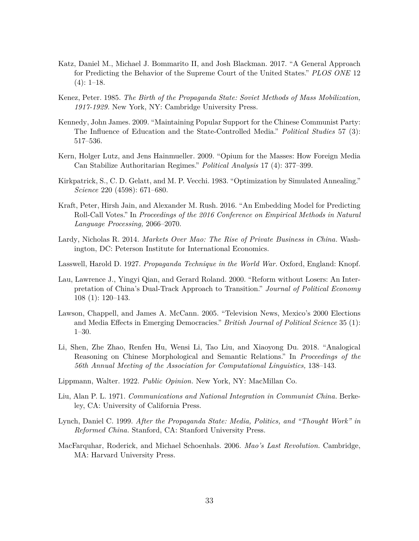- <span id="page-32-8"></span>Katz, Daniel M., Michael J. Bommarito II, and Josh Blackman. 2017. "A General Approach for Predicting the Behavior of the Supreme Court of the United States." *PLOS ONE* 12  $(4): 1-18.$
- <span id="page-32-0"></span>Kenez, Peter. 1985. *The Birth of the Propaganda State: Soviet Methods of Mass Mobilization, 1917-1929.* New York, NY: Cambridge University Press.
- <span id="page-32-5"></span>Kennedy, John James. 2009. "Maintaining Popular Support for the Chinese Communist Party: The Influence of Education and the State-Controlled Media." *Political Studies* 57 (3): 517–536.
- <span id="page-32-7"></span>Kern, Holger Lutz, and Jens Hainmueller. 2009. "Opium for the Masses: How Foreign Media Can Stabilize Authoritarian Regimes." *Political Analysis* 17 (4): 377–399.
- <span id="page-32-10"></span>Kirkpatrick, S., C. D. Gelatt, and M. P. Vecchi. 1983. "Optimization by Simulated Annealing." *Science* 220 (4598): 671–680.
- <span id="page-32-6"></span>Kraft, Peter, Hirsh Jain, and Alexander M. Rush. 2016. "An Embedding Model for Predicting Roll-Call Votes." In *Proceedings of the 2016 Conference on Empirical Methods in Natural Language Processing,* 2066–2070.
- <span id="page-32-13"></span>Lardy, Nicholas R. 2014. *Markets Over Mao: The Rise of Private Business in China.* Washington, DC: Peterson Institute for International Economics.
- <span id="page-32-2"></span>Lasswell, Harold D. 1927. *Propaganda Technique in the World War.* Oxford, England: Knopf.
- <span id="page-32-14"></span>Lau, Lawrence J., Yingyi Qian, and Gerard Roland. 2000. "Reform without Losers: An Interpretation of China's Dual-Track Approach to Transition." *Journal of Political Economy* 108 (1): 120–143.
- <span id="page-32-4"></span>Lawson, Chappell, and James A. McCann. 2005. "Television News, Mexico's 2000 Elections and Media Effects in Emerging Democracies." *British Journal of Political Science* 35 (1): 1–30.
- <span id="page-32-11"></span>Li, Shen, Zhe Zhao, Renfen Hu, Wensi Li, Tao Liu, and Xiaoyong Du. 2018. "Analogical Reasoning on Chinese Morphological and Semantic Relations." In *Proceedings of the 56th Annual Meeting of the Association for Computational Linguistics,* 138–143.
- <span id="page-32-3"></span>Lippmann, Walter. 1922. *Public Opinion.* New York, NY: MacMillan Co.
- <span id="page-32-1"></span>Liu, Alan P. L. 1971. *Communications and National Integration in Communist China.* Berkeley, CA: University of California Press.
- <span id="page-32-9"></span>Lynch, Daniel C. 1999. *After the Propaganda State: Media, Politics, and "Thought Work" in Reformed China.* Stanford, CA: Stanford University Press.
- <span id="page-32-12"></span>MacFarquhar, Roderick, and Michael Schoenhals. 2006. *Mao's Last Revolution.* Cambridge, MA: Harvard University Press.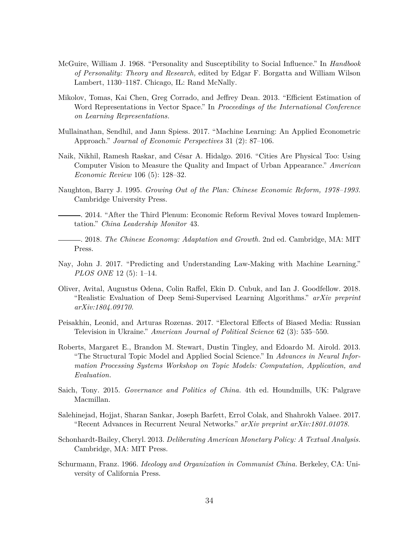- <span id="page-33-1"></span>McGuire, William J. 1968. "Personality and Susceptibility to Social Influence." In *Handbook of Personality: Theory and Research,* edited by Edgar F. Borgatta and William Wilson Lambert, 1130–1187. Chicago, IL: Rand McNally.
- <span id="page-33-7"></span>Mikolov, Tomas, Kai Chen, Greg Corrado, and Jeffrey Dean. 2013. "Efficient Estimation of Word Representations in Vector Space." In *Proceedings of the International Conference on Learning Representations.*
- <span id="page-33-5"></span>Mullainathan, Sendhil, and Jann Spiess. 2017. "Machine Learning: An Applied Econometric Approach." *Journal of Economic Perspectives* 31 (2): 87–106.
- <span id="page-33-6"></span>Naik, Nikhil, Ramesh Raskar, and César A. Hidalgo. 2016. "Cities Are Physical Too: Using Computer Vision to Measure the Quality and Impact of Urban Appearance." *American Economic Review* 106 (5): 128–32.
- <span id="page-33-14"></span>Naughton, Barry J. 1995. *Growing Out of the Plan: Chinese Economic Reform, 1978–1993.* Cambridge University Press.
- <span id="page-33-11"></span>. 2014. "After the Third Plenum: Economic Reform Revival Moves toward Implementation." *China Leadership Monitor* 43.
- <span id="page-33-12"></span>. 2018. *The Chinese Economy: Adaptation and Growth.* 2nd ed. Cambridge, MA: MIT Press.
- <span id="page-33-3"></span>Nay, John J. 2017. "Predicting and Understanding Law-Making with Machine Learning." *PLOS ONE* 12 (5): 1–14.
- <span id="page-33-9"></span>Oliver, Avital, Augustus Odena, Colin Raffel, Ekin D. Cubuk, and Ian J. Goodfellow. 2018. "Realistic Evaluation of Deep Semi-Supervised Learning Algorithms." *arXiv preprint arXiv:1804.09170.*
- <span id="page-33-4"></span>Peisakhin, Leonid, and Arturas Rozenas. 2017. "Electoral Effects of Biased Media: Russian Television in Ukraine." *American Journal of Political Science* 62 (3): 535–550.
- <span id="page-33-10"></span>Roberts, Margaret E., Brandon M. Stewart, Dustin Tingley, and Edoardo M. Airold. 2013. "The Structural Topic Model and Applied Social Science." In *Advances in Neural Information Processing Systems Workshop on Topic Models: Computation, Application, and Evaluation.*
- <span id="page-33-13"></span>Saich, Tony. 2015. *Governance and Politics of China.* 4th ed. Houndmills, UK: Palgrave Macmillan.
- <span id="page-33-8"></span>Salehinejad, Hojjat, Sharan Sankar, Joseph Barfett, Errol Colak, and Shahrokh Valaee. 2017. "Recent Advances in Recurrent Neural Networks." *arXiv preprint arXiv:1801.01078.*
- <span id="page-33-2"></span>Schonhardt-Bailey, Cheryl. 2013. *Deliberating American Monetary Policy: A Textual Analysis.* Cambridge, MA: MIT Press.
- <span id="page-33-0"></span>Schurmann, Franz. 1966. *Ideology and Organization in Communist China.* Berkeley, CA: University of California Press.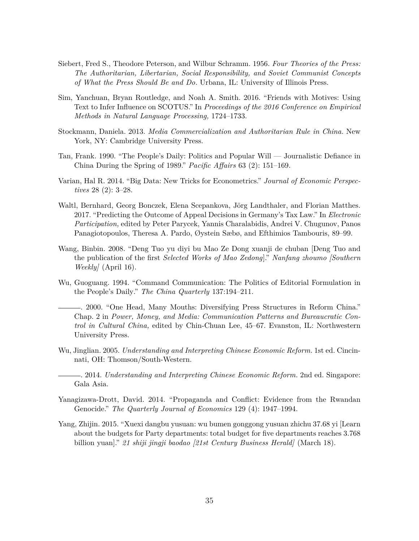- <span id="page-34-0"></span>Siebert, Fred S., Theodore Peterson, and Wilbur Schramm. 1956. *Four Theories of the Press: The Authoritarian, Libertarian, Social Responsibility, and Soviet Communist Concepts of What the Press Should Be and Do.* Urbana, IL: University of Illinois Press.
- <span id="page-34-4"></span>Sim, Yanchuan, Bryan Routledge, and Noah A. Smith. 2016. "Friends with Motives: Using Text to Infer Influence on SCOTUS." In *Proceedings of the 2016 Conference on Empirical Methods in Natural Language Processing,* 1724–1733.
- <span id="page-34-8"></span>Stockmann, Daniela. 2013. *Media Commercialization and Authoritarian Rule in China.* New York, NY: Cambridge University Press.
- <span id="page-34-10"></span>Tan, Frank. 1990. "The People's Daily: Politics and Popular Will — Journalistic Defiance in China During the Spring of 1989." *Pacific Affairs* 63 (2): 151–169.
- <span id="page-34-3"></span>Varian, Hal R. 2014. "Big Data: New Tricks for Econometrics." *Journal of Economic Perspectives* 28 (2): 3–28.
- <span id="page-34-5"></span>Waltl, Bernhard, Georg Bonczek, Elena Scepankova, Jörg Landthaler, and Florian Matthes. 2017. "Predicting the Outcome of Appeal Decisions in Germany's Tax Law." In *Electronic Participation,* edited by Peter Parycek, Yannis Charalabidis, Andrei V. Chugunov, Panos Panagiotopoulos, Theresa A. Pardo, Øystein Sæbø, and Efthimios Tambouris, 89–99.
- <span id="page-34-9"></span>Wang, Binbin. 2008. "Deng Tuo yu diyi bu Mao Ze Dong xuanji de chuban [Deng Tuo and the publication of the first *Selected Works of Mao Zedong*]." *Nanfang zhoumo [Southern Weekly]* (April 16).
- <span id="page-34-7"></span><span id="page-34-6"></span>Wu, Guoguang. 1994. "Command Communication: The Politics of Editorial Formulation in the People's Daily." *The China Quarterly* 137:194–211.
	- . 2000. "One Head, Many Mouths: Diversifying Press Structures in Reform China." Chap. 2 in *Power, Money, and Media: Communication Patterns and Bureaucratic Control in Cultural China,* edited by Chin-Chuan Lee, 45–67. Evanston, IL: Northwestern University Press.
- <span id="page-34-12"></span>Wu, Jinglian. 2005. *Understanding and Interpreting Chinese Economic Reform.* 1st ed. Cincinnati, OH: Thomson/South-Western.
- <span id="page-34-11"></span>. 2014. *Understanding and Interpreting Chinese Economic Reform.* 2nd ed. Singapore: Gala Asia.
- <span id="page-34-1"></span>Yanagizawa-Drott, David. 2014. "Propaganda and Conflict: Evidence from the Rwandan Genocide." *The Quarterly Journal of Economics* 129 (4): 1947–1994.
- <span id="page-34-2"></span>Yang, Zhijin. 2015. "Xuexi dangbu yusuan: wu bumen gonggong yusuan zhichu 37.68 yi [Learn about the budgets for Party departments: total budget for five departments reaches 3.768 billion yuan]." *21 shiji jingji baodao [21st Century Business Herald]* (March 18).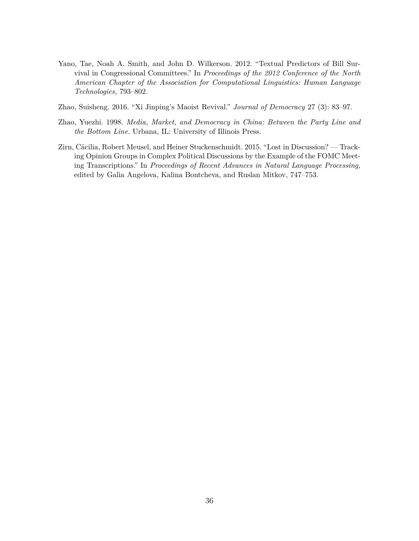- <span id="page-35-1"></span>Yano, Tae, Noah A. Smith, and John D. Wilkerson. 2012. "Textual Predictors of Bill Survival in Congressional Committees." In *Proceedings of the 2012 Conference of the North American Chapter of the Association for Computational Linguistics: Human Language Technologies,* 793–802.
- <span id="page-35-3"></span>Zhao, Suisheng. 2016. "Xi Jinping's Maoist Revival." *Journal of Democracy* 27 (3): 83–97.
- <span id="page-35-2"></span>Zhao, Yuezhi. 1998. *Media, Market, and Democracy in China: Between the Party Line and the Bottom Line.* Urbana, IL: University of Illinois Press.
- <span id="page-35-0"></span>Zirn, Cäcilia, Robert Meusel, and Heiner Stuckenschmidt. 2015. "Lost in Discussion? — Tracking Opinion Groups in Complex Political Discussions by the Example of the FOMC Meeting Transcriptions." In *Proceedings of Recent Advances in Natural Language Processing,* edited by Galia Angelova, Kalina Bontcheva, and Ruslan Mitkov, 747–753.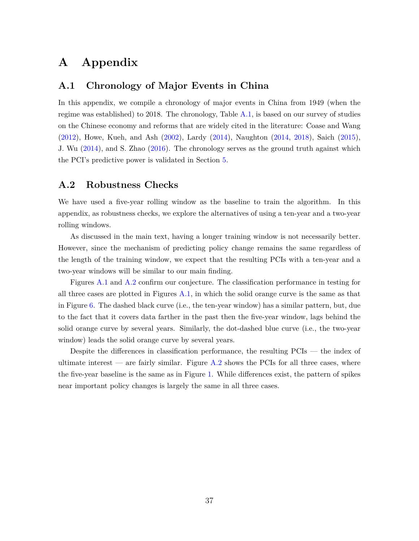# **A Appendix**

### <span id="page-36-1"></span>**A.1 Chronology of Major Events in China**

In this appendix, we compile a chronology of major events in China from 1949 (when the regime was established) to 2018. The chronology, Table [A.1,](#page-37-0) is based on our survey of studies on the Chinese economy and reforms that are widely cited in the literature: Coase and Wang [\(2012\)](#page-30-11), Howe, Kueh, and Ash [\(2002\)](#page-31-14), Lardy [\(2014\)](#page-32-13), Naughton [\(2014,](#page-33-11) [2018\)](#page-33-12), Saich [\(2015\)](#page-33-13), J. Wu [\(2014\)](#page-34-11), and S. Zhao [\(2016\)](#page-35-3). The chronology serves as the ground truth against which the PCI's predictive power is validated in Section [5.](#page-19-0)

### <span id="page-36-0"></span>**A.2 Robustness Checks**

We have used a five-year rolling window as the baseline to train the algorithm. In this appendix, as robustness checks, we explore the alternatives of using a ten-year and a two-year rolling windows.

As discussed in the main text, having a longer training window is not necessarily better. However, since the mechanism of predicting policy change remains the same regardless of the length of the training window, we expect that the resulting PCIs with a ten-year and a two-year windows will be similar to our main finding.

Figures [A.1](#page-41-0) and [A.2](#page-42-0) confirm our conjecture. The classification performance in testing for all three cases are plotted in Figures [A.1,](#page-41-0) in which the solid orange curve is the same as that in Figure [6.](#page-21-0) The dashed black curve (i.e., the ten-year window) has a similar pattern, but, due to the fact that it covers data farther in the past then the five-year window, lags behind the solid orange curve by several years. Similarly, the dot-dashed blue curve (i.e., the two-year window) leads the solid orange curve by several years.

Despite the differences in classification performance, the resulting PCIs — the index of ultimate interest — are fairly similar. Figure  $A.2$  shows the PCIs for all three cases, where the five-year baseline is the same as in Figure [1.](#page-3-0) While differences exist, the pattern of spikes near important policy changes is largely the same in all three cases.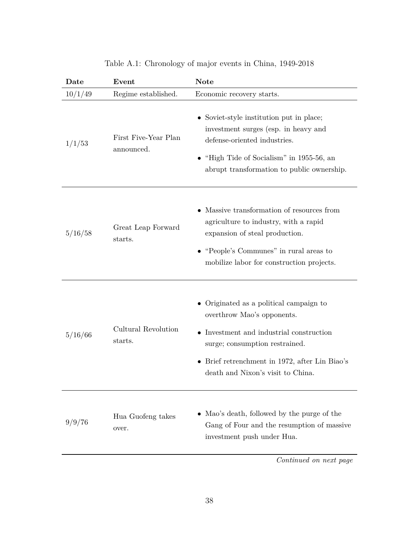<span id="page-37-0"></span>

| Date    | Event                              | <b>Note</b>                                                                                                                                                                                                                                |
|---------|------------------------------------|--------------------------------------------------------------------------------------------------------------------------------------------------------------------------------------------------------------------------------------------|
| 10/1/49 | Regime established.                | Economic recovery starts.                                                                                                                                                                                                                  |
| 1/1/53  | First Five-Year Plan<br>announced. | • Soviet-style institution put in place;<br>investment surges (esp. in heavy and<br>defense-oriented industries.<br>$\bullet$ "High Tide of Socialism" in 1955-56, an<br>abrupt transformation to public ownership.                        |
| 5/16/58 | Great Leap Forward<br>starts.      | Massive transformation of resources from<br>agriculture to industry, with a rapid<br>expansion of steal production.<br>"People's Communes" in rural areas to<br>mobilize labor for construction projects.                                  |
| 5/16/66 | Cultural Revolution<br>starts.     | • Originated as a political campaign to<br>overthrow Mao's opponents.<br>• Investment and industrial construction<br>surge; consumption restrained.<br>• Brief retrenchment in 1972, after Lin Biao's<br>death and Nixon's visit to China. |
| 9/9/76  | Hua Guofeng takes<br>over.         | • Mao's death, followed by the purge of the<br>Gang of Four and the resumption of massive<br>investment push under Hua.                                                                                                                    |
|         |                                    | Continued on next page                                                                                                                                                                                                                     |

## Table A.1: Chronology of major events in China, 1949-2018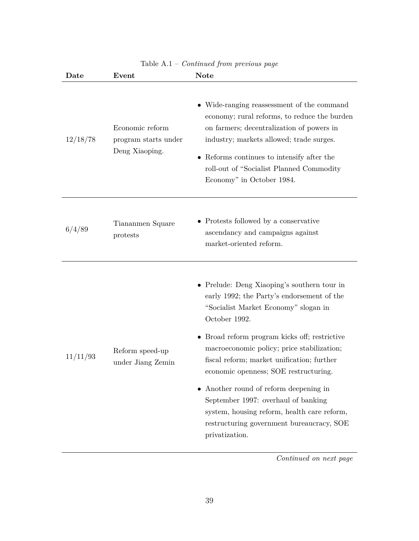| Date     | Event                                                     | <b>Note</b>                                                                                                                                                                                                                                                                                                                                                                                                                                                                                                                             |
|----------|-----------------------------------------------------------|-----------------------------------------------------------------------------------------------------------------------------------------------------------------------------------------------------------------------------------------------------------------------------------------------------------------------------------------------------------------------------------------------------------------------------------------------------------------------------------------------------------------------------------------|
| 12/18/78 | Economic reform<br>program starts under<br>Deng Xiaoping. | • Wide-ranging reassessment of the command<br>economy; rural reforms, to reduce the burden<br>on farmers; decentralization of powers in<br>industry; markets allowed; trade surges.<br>• Reforms continues to intensify after the<br>roll-out of "Socialist Planned Commodity<br>Economy" in October 1984.                                                                                                                                                                                                                              |
| 6/4/89   | Tiananmen Square<br>protests                              | • Protests followed by a conservative<br>ascendancy and campaigns against<br>market-oriented reform.                                                                                                                                                                                                                                                                                                                                                                                                                                    |
| 11/11/93 | Reform speed-up<br>under Jiang Zemin                      | • Prelude: Deng Xiaoping's southern tour in<br>early 1992; the Party's endorsement of the<br>"Socialist Market Economy" slogan in<br>October 1992.<br>• Broad reform program kicks off; restrictive<br>macroeconomic policy; price stabilization;<br>fiscal reform; market unification; further<br>economic openness; SOE restructuring.<br>• Another round of reform deepening in<br>September 1997: overhaul of banking<br>system, housing reform, health care reform,<br>restructuring government bureaucracy, SOE<br>privatization. |

### Table A.1 – *Continued from previous page*

*Continued on next page*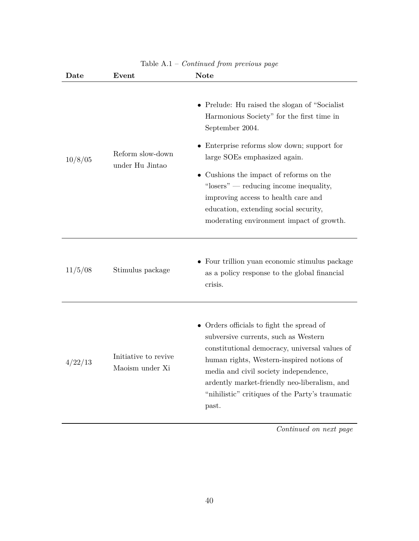| $\mathbf{Date}$ | Event                                   | <b>Note</b>                                                                                                                                                                                                                                                                                                                                                                                                    |
|-----------------|-----------------------------------------|----------------------------------------------------------------------------------------------------------------------------------------------------------------------------------------------------------------------------------------------------------------------------------------------------------------------------------------------------------------------------------------------------------------|
| 10/8/05         | Reform slow-down<br>under Hu Jintao     | • Prelude: Hu raised the slogan of "Socialist"<br>Harmonious Society" for the first time in<br>September 2004.<br>• Enterprise reforms slow down; support for<br>large SOEs emphasized again.<br>• Cushions the impact of reforms on the<br>"losers" — reducing income inequality,<br>improving access to health care and<br>education, extending social security,<br>moderating environment impact of growth. |
| 11/5/08         | Stimulus package                        | • Four trillion yuan economic stimulus package<br>as a policy response to the global financial<br>crisis.                                                                                                                                                                                                                                                                                                      |
| 4/22/13         | Initiative to revive<br>Maoism under Xi | • Orders officials to fight the spread of<br>subversive currents, such as Western<br>constitutional democracy, universal values of<br>human rights, Western-inspired notions of<br>media and civil society independence,<br>ardently market-friendly neo-liberalism, and<br>"nihilistic" critiques of the Party's traumatic<br>past.                                                                           |

### Table A.1 – *Continued from previous page*

*Continued on next page*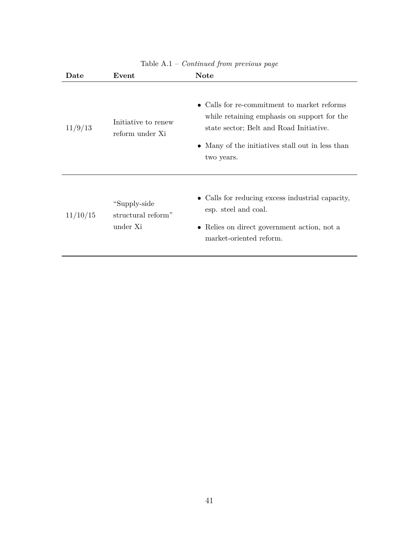| Date     | Event                                           | <b>Note</b>                                                                                                                                                                                             |
|----------|-------------------------------------------------|---------------------------------------------------------------------------------------------------------------------------------------------------------------------------------------------------------|
| 11/9/13  | Initiative to renew<br>reform under Xi          | • Calls for re-commitment to market reforms<br>while retaining emphasis on support for the<br>state sector; Belt and Road Initiative.<br>• Many of the initiatives stall out in less than<br>two years. |
| 11/10/15 | "Supply-side"<br>structural reform"<br>under Xi | • Calls for reducing excess industrial capacity,<br>esp. steel and coal.<br>• Relies on direct government action, not a<br>market-oriented reform.                                                      |

#### Table A.1 – *Continued from previous page*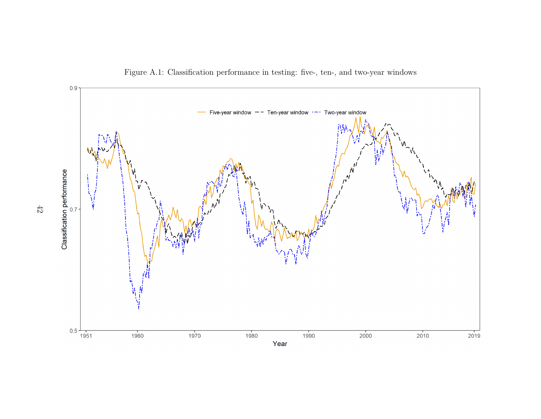

Figure A.1: Classification performance in testing: five-, ten-, and two-year windows

<span id="page-41-0"></span> $42\,$